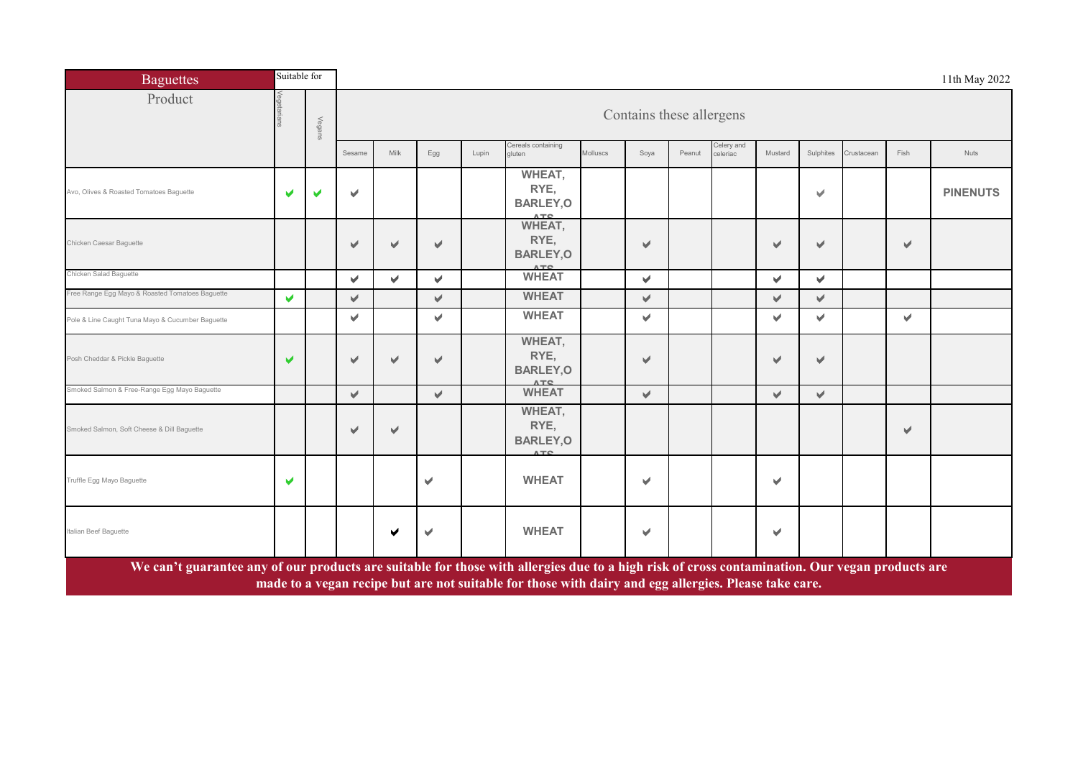| <b>Baguettes</b>                                                                                                                               | Suitable for |        |                          |                                                                      |                      |       |                                                                                                       |          |                          |        |                        |         |           |            |      | 11th May 2022   |  |  |
|------------------------------------------------------------------------------------------------------------------------------------------------|--------------|--------|--------------------------|----------------------------------------------------------------------|----------------------|-------|-------------------------------------------------------------------------------------------------------|----------|--------------------------|--------|------------------------|---------|-----------|------------|------|-----------------|--|--|
| Product                                                                                                                                        |              | Vegans |                          |                                                                      |                      |       |                                                                                                       |          | Contains these allergens |        |                        |         |           |            |      |                 |  |  |
|                                                                                                                                                |              |        | Sesame                   | Milk                                                                 | Egg                  | Lupin | Cereals containing<br>aluten                                                                          | Molluscs | Soya                     | Peanut | Celery and<br>celeriac | Mustard | Sulphites | Crustacean | Fish | <b>Nuts</b>     |  |  |
| Avo, Olives & Roasted Tomatoes Baguette                                                                                                        | ✔            | ✔      | ✔                        |                                                                      |                      |       | WHEAT,<br>RYE,<br><b>BARLEY, O</b><br><b>ATC</b>                                                      |          |                          |        |                        |         | ✔         |            |      | <b>PINENUTS</b> |  |  |
| Chicken Caesar Baguette                                                                                                                        |              |        | ✔                        | ✔                                                                    | V                    |       | WHEAT,<br>RYE,<br><b>BARLEY, O</b>                                                                    |          | v                        |        |                        | ✔       | ✔         |            | ✔    |                 |  |  |
| Chicken Salad Baguette                                                                                                                         |              |        | v.                       | MTE<br>v.<br>V<br>v.<br>V<br>V<br><b>WHEAT</b><br>V<br>V.<br>V<br>v. |                      |       |                                                                                                       |          |                          |        |                        |         |           |            |      |                 |  |  |
| Free Range Egg Mayo & Roasted Tomatoes Baguette                                                                                                | V            |        | V.                       |                                                                      |                      |       |                                                                                                       |          |                          |        |                        |         |           |            |      |                 |  |  |
| Pole & Line Caught Tuna Mayo & Cucumber Baguette                                                                                               |              |        | v.                       |                                                                      | V                    |       | <b>WHEAT</b>                                                                                          |          | V.                       |        |                        | V       | V         |            | v    |                 |  |  |
| Posh Cheddar & Pickle Baguette                                                                                                                 | ✔            |        | $\overline{\mathcal{L}}$ | ✔                                                                    | V                    |       | WHEAT,<br>RYE,<br><b>BARLEY, O</b><br><b>ATC</b>                                                      |          | v                        |        |                        | ✔       | V         |            |      |                 |  |  |
| Smoked Salmon & Free-Range Egg Mayo Baguette                                                                                                   |              |        | $\blacktriangleright$    |                                                                      | $\checkmark$         |       | <b>WHEAT</b>                                                                                          |          | v.                       |        |                        | V       | V         |            |      |                 |  |  |
| Smoked Salmon, Soft Cheese & Dill Baguette                                                                                                     |              |        | $\sqrt{2}$               | ✔                                                                    |                      |       | WHEAT,<br>RYE,<br><b>BARLEY, O</b><br><b>ATC</b>                                                      |          |                          |        |                        |         |           |            | ✔    |                 |  |  |
| Truffle Egg Mayo Baguette                                                                                                                      | ✔            |        |                          |                                                                      | $\blacktriangledown$ |       | <b>WHEAT</b>                                                                                          |          | v                        |        |                        | V       |           |            |      |                 |  |  |
| Italian Beef Baguette                                                                                                                          |              |        |                          | ✔                                                                    | ✔                    |       | <b>WHEAT</b>                                                                                          |          | $\blacktriangleright$    |        |                        | ✔       |           |            |      |                 |  |  |
| We can't guarantee any of our products are suitable for those with allergies due to a high risk of cross contamination. Our vegan products are |              |        |                          |                                                                      |                      |       | made to a vegan recipe but are not suitable for those with dairy and egg allergies. Please take care. |          |                          |        |                        |         |           |            |      |                 |  |  |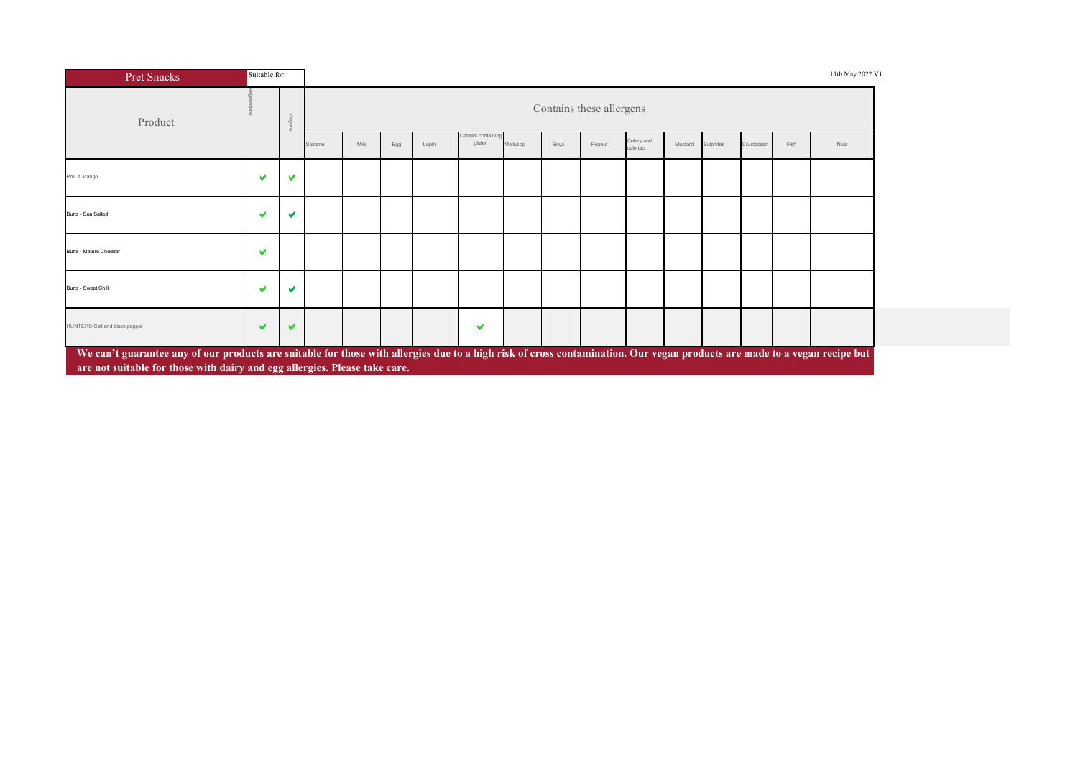| Pret Snacks                                                                                                                                                                                                                                             | Suitable for |            |        |      |     |       |                             |                 |      |                          |                        |         |           |            |      | 11th May 2022 V1 |
|---------------------------------------------------------------------------------------------------------------------------------------------------------------------------------------------------------------------------------------------------------|--------------|------------|--------|------|-----|-------|-----------------------------|-----------------|------|--------------------------|------------------------|---------|-----------|------------|------|------------------|
| Product                                                                                                                                                                                                                                                 |              | $\lt$<br>8 |        |      |     |       |                             |                 |      | Contains these allergens |                        |         |           |            |      |                  |
|                                                                                                                                                                                                                                                         |              |            | Sesame | Milk | Egg | Lupin | Cereals containir<br>gluten | <b>Molluscs</b> | Soya | Peanut                   | Celery and<br>celeriac | Mustard | Sulphites | Crustacear | Fish | Nuts             |
| Pret A Mango                                                                                                                                                                                                                                            | v            | м          |        |      |     |       |                             |                 |      |                          |                        |         |           |            |      |                  |
| Burts - Sea Salted                                                                                                                                                                                                                                      | v            | м          |        |      |     |       |                             |                 |      |                          |                        |         |           |            |      |                  |
| Burts - Mature Cheddar                                                                                                                                                                                                                                  | V            |            |        |      |     |       |                             |                 |      |                          |                        |         |           |            |      |                  |
| Burts - Sweet Chilli                                                                                                                                                                                                                                    | v            | м          |        |      |     |       |                             |                 |      |                          |                        |         |           |            |      |                  |
| HUNTERS-Salt and black pepper                                                                                                                                                                                                                           | v            | м          |        |      |     |       | v                           |                 |      |                          |                        |         |           |            |      |                  |
| We can't guarantee any of our products are suitable for those with allergies due to a high risk of cross contamination. Our vegan products are made to a vegan recipe but<br>are not suitable for those with dairy and egg allergies. Please take care. |              |            |        |      |     |       |                             |                 |      |                          |                        |         |           |            |      |                  |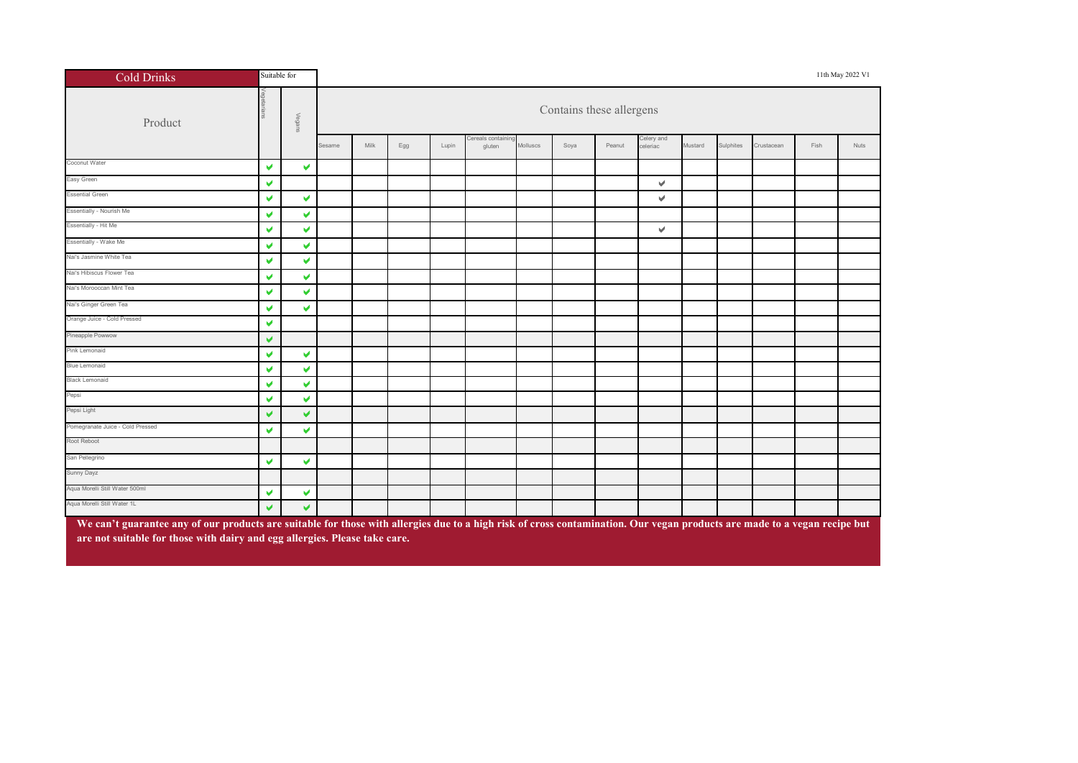| <b>Cold Drinks</b>                                                                                                                                                                                                                                      | Suitable for |                       |        |      |     |       |                           |          |      |                          |                        |         |           |            |      | 11th May 2022 V1 |  |
|---------------------------------------------------------------------------------------------------------------------------------------------------------------------------------------------------------------------------------------------------------|--------------|-----------------------|--------|------|-----|-------|---------------------------|----------|------|--------------------------|------------------------|---------|-----------|------------|------|------------------|--|
| Product                                                                                                                                                                                                                                                 |              | Vegans                |        |      |     |       |                           |          |      | Contains these allergens |                        |         |           |            |      |                  |  |
|                                                                                                                                                                                                                                                         |              |                       | Sesame | Milk | Egg | Lupin | ereals containi<br>gluten | Molluscs | Soya | Peanut                   | Celery and<br>celeriac | Mustard | Sulphites | Crustacean | Fish | Nuts             |  |
| Coconut Water                                                                                                                                                                                                                                           | V            | $\blacktriangledown$  |        |      |     |       |                           |          |      |                          |                        |         |           |            |      |                  |  |
| Easy Green                                                                                                                                                                                                                                              | V            |                       |        |      |     |       |                           |          |      |                          | v                      |         |           |            |      |                  |  |
| <b>Essential Green</b>                                                                                                                                                                                                                                  | V            | $\blacktriangledown$  |        |      |     |       |                           |          |      |                          | v.                     |         |           |            |      |                  |  |
| Essentially - Nourish Me                                                                                                                                                                                                                                | V            | $\blacktriangledown$  |        |      |     |       |                           |          |      |                          |                        |         |           |            |      |                  |  |
| Essentially - Hit Me                                                                                                                                                                                                                                    | V            | $\blacktriangleright$ | v      |      |     |       |                           |          |      |                          |                        |         |           |            |      |                  |  |
| Essentially - Wake Me                                                                                                                                                                                                                                   | V            | V                     |        |      |     |       |                           |          |      |                          |                        |         |           |            |      |                  |  |
| Nai's Jasmine White Tea                                                                                                                                                                                                                                 | V            | V                     |        |      |     |       |                           |          |      |                          |                        |         |           |            |      |                  |  |
| Nai's Hibiscus Flower Tea                                                                                                                                                                                                                               | V            | $\blacktriangledown$  |        |      |     |       |                           |          |      |                          |                        |         |           |            |      |                  |  |
| Nai's Morooccan Mint Tea                                                                                                                                                                                                                                | V            | V                     |        |      |     |       |                           |          |      |                          |                        |         |           |            |      |                  |  |
| Nai's Ginger Green Tea                                                                                                                                                                                                                                  | V            | V                     |        |      |     |       |                           |          |      |                          |                        |         |           |            |      |                  |  |
| Orange Juice - Cold Pressed                                                                                                                                                                                                                             | V            |                       |        |      |     |       |                           |          |      |                          |                        |         |           |            |      |                  |  |
| Pineapple Powwow                                                                                                                                                                                                                                        | V            |                       |        |      |     |       |                           |          |      |                          |                        |         |           |            |      |                  |  |
| Pink Lemonaid                                                                                                                                                                                                                                           | V            | V                     |        |      |     |       |                           |          |      |                          |                        |         |           |            |      |                  |  |
| <b>Blue Lemonaid</b>                                                                                                                                                                                                                                    | V            | v                     |        |      |     |       |                           |          |      |                          |                        |         |           |            |      |                  |  |
| <b>Black Lemonaid</b>                                                                                                                                                                                                                                   | V            | v                     |        |      |     |       |                           |          |      |                          |                        |         |           |            |      |                  |  |
| Pepsi                                                                                                                                                                                                                                                   | V            | V                     |        |      |     |       |                           |          |      |                          |                        |         |           |            |      |                  |  |
| Pepsi Light                                                                                                                                                                                                                                             | V            | V                     |        |      |     |       |                           |          |      |                          |                        |         |           |            |      |                  |  |
| Pomegranate Juice - Cold Pressed                                                                                                                                                                                                                        | V            | V                     |        |      |     |       |                           |          |      |                          |                        |         |           |            |      |                  |  |
| Root Reboot                                                                                                                                                                                                                                             |              |                       |        |      |     |       |                           |          |      |                          |                        |         |           |            |      |                  |  |
| San Pellegrino                                                                                                                                                                                                                                          | V            | v                     |        |      |     |       |                           |          |      |                          |                        |         |           |            |      |                  |  |
| Sunny Dayz                                                                                                                                                                                                                                              |              |                       |        |      |     |       |                           |          |      |                          |                        |         |           |            |      |                  |  |
| Aqua Morelli Still Water 500ml                                                                                                                                                                                                                          | V            | v                     |        |      |     |       |                           |          |      |                          |                        |         |           |            |      |                  |  |
| Aqua Morelli Still Water 1L                                                                                                                                                                                                                             | V            | $\blacktriangleright$ |        |      |     |       |                           |          |      |                          |                        |         |           |            |      |                  |  |
| We can't guarantee any of our products are suitable for those with allergies due to a high risk of cross contamination. Our vegan products are made to a vegan recipe but<br>are not suitable for those with dairy and egg allergies. Please take care. |              |                       |        |      |     |       |                           |          |      |                          |                        |         |           |            |      |                  |  |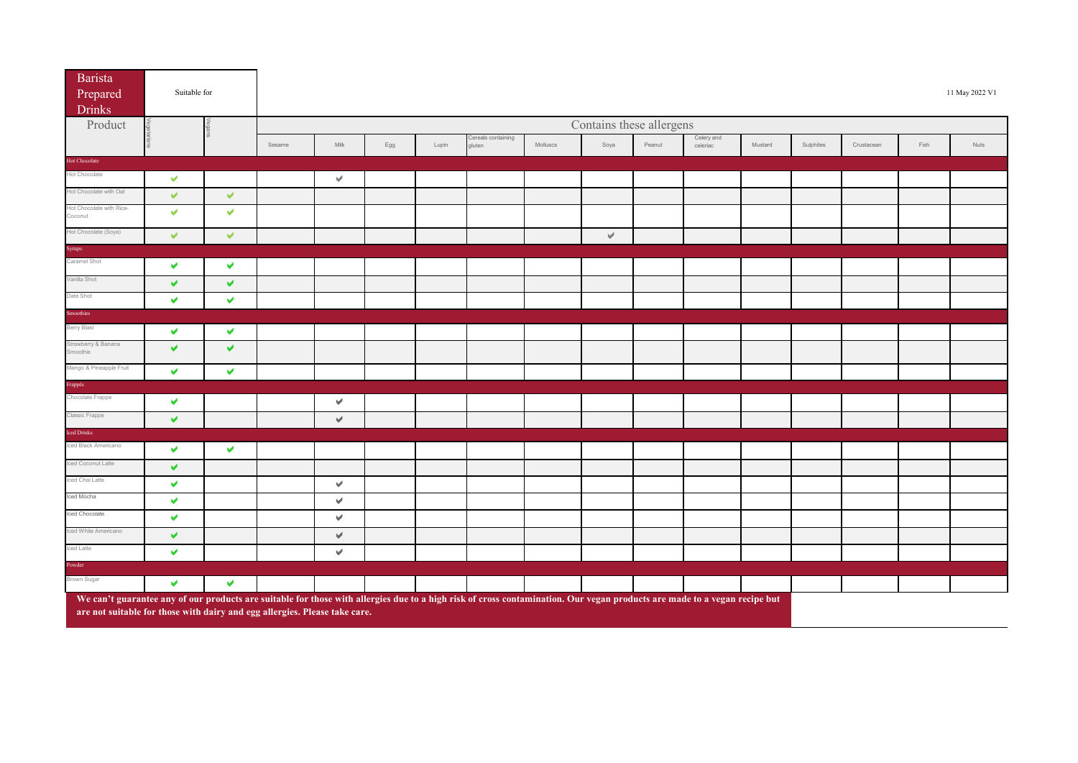| <b>Barista</b><br>Prepared<br><b>Drinks</b>                                                                                                                               | Suitable for          |                      |        |                      |     |       |                              |          |                          |        |                        |         |           |            |      | 11 May 2022 V1 |
|---------------------------------------------------------------------------------------------------------------------------------------------------------------------------|-----------------------|----------------------|--------|----------------------|-----|-------|------------------------------|----------|--------------------------|--------|------------------------|---------|-----------|------------|------|----------------|
| Product                                                                                                                                                                   |                       |                      |        |                      |     |       |                              |          | Contains these allergens |        |                        |         |           |            |      |                |
|                                                                                                                                                                           |                       |                      | Sesame | Milk                 | Egg | Lupin | Cereals containing<br>gluten | Molluscs | Soya                     | Peanut | Celery and<br>celeriac | Mustard | Sulphites | Crustacean | Fish | Nuts           |
| <b>Hot Chocolate</b>                                                                                                                                                      |                       |                      |        |                      |     |       |                              |          |                          |        |                        |         |           |            |      |                |
| Hot Chocolate                                                                                                                                                             | V                     |                      |        | $\blacktriangledown$ |     |       |                              |          |                          |        |                        |         |           |            |      |                |
| Hot Chocolate with Oat                                                                                                                                                    | V                     | $\blacktriangledown$ |        |                      |     |       |                              |          |                          |        |                        |         |           |            |      |                |
| Hot Chocolate with Rice-<br>Coconut                                                                                                                                       | V                     | $\blacktriangledown$ |        |                      |     |       |                              |          |                          |        |                        |         |           |            |      |                |
| Hot Chocolate (Soya)                                                                                                                                                      | $\checkmark$          | $\blacktriangledown$ |        |                      |     |       |                              |          | $\forall$                |        |                        |         |           |            |      |                |
| Syrups                                                                                                                                                                    |                       |                      |        |                      |     |       |                              |          |                          |        |                        |         |           |            |      |                |
| Caramel Shot                                                                                                                                                              | v                     | $\blacktriangledown$ |        |                      |     |       |                              |          |                          |        |                        |         |           |            |      |                |
| Vanilla Shot                                                                                                                                                              | V                     | V                    |        |                      |     |       |                              |          |                          |        |                        |         |           |            |      |                |
| Date Shot                                                                                                                                                                 | V                     | $\blacktriangledown$ |        |                      |     |       |                              |          |                          |        |                        |         |           |            |      |                |
| Smoothies                                                                                                                                                                 |                       |                      |        |                      |     |       |                              |          |                          |        |                        |         |           |            |      |                |
| Berry Blast                                                                                                                                                               | V                     | $\blacktriangledown$ |        |                      |     |       |                              |          |                          |        |                        |         |           |            |      |                |
| Strawberry & Banana<br>Smoothie                                                                                                                                           | V                     | $\blacktriangledown$ |        |                      |     |       |                              |          |                          |        |                        |         |           |            |      |                |
| Mango & Pineapple Fruit                                                                                                                                                   | V                     | $\blacktriangledown$ |        |                      |     |       |                              |          |                          |        |                        |         |           |            |      |                |
| Frappés                                                                                                                                                                   |                       |                      |        |                      |     |       |                              |          |                          |        |                        |         |           |            |      |                |
| Chocolate Frappe                                                                                                                                                          | V                     |                      |        | $\blacktriangledown$ |     |       |                              |          |                          |        |                        |         |           |            |      |                |
| Classic Frappe                                                                                                                                                            | $\blacktriangleright$ |                      |        | $\mathcal{A}$        |     |       |                              |          |                          |        |                        |         |           |            |      |                |
| Iced Drinks                                                                                                                                                               |                       |                      |        |                      |     |       |                              |          |                          |        |                        |         |           |            |      |                |
| Iced Black Americano                                                                                                                                                      | v                     | $\blacktriangledown$ |        |                      |     |       |                              |          |                          |        |                        |         |           |            |      |                |
| Iced Coconut Latte                                                                                                                                                        | V                     |                      |        |                      |     |       |                              |          |                          |        |                        |         |           |            |      |                |
| Iced Chai Latte                                                                                                                                                           | V                     |                      |        | $\mathcal{A}$        |     |       |                              |          |                          |        |                        |         |           |            |      |                |
| Iced Mocha                                                                                                                                                                | v                     |                      |        | $\mathcal{A}$        |     |       |                              |          |                          |        |                        |         |           |            |      |                |
| Iced Chocolate                                                                                                                                                            | V                     |                      |        | $\mathbf{v}$         |     |       |                              |          |                          |        |                        |         |           |            |      |                |
| Iced White Americano                                                                                                                                                      | V                     |                      |        | $\mathcal{A}$        |     |       |                              |          |                          |        |                        |         |           |            |      |                |
| Iced Latte                                                                                                                                                                | V                     |                      |        | $\mathbf{v}$         |     |       |                              |          |                          |        |                        |         |           |            |      |                |
| Powder                                                                                                                                                                    |                       |                      |        |                      |     |       |                              |          |                          |        |                        |         |           |            |      |                |
| Brown Sugar                                                                                                                                                               | V                     | $\blacktriangledown$ |        |                      |     |       |                              |          |                          |        |                        |         |           |            |      |                |
| We can't guarantee any of our products are suitable for those with allergies due to a high risk of cross contamination. Our vegan products are made to a vegan recipe but |                       |                      |        |                      |     |       |                              |          |                          |        |                        |         |           |            |      |                |

**are not suitable for those with dairy and egg allergies. Please take care.**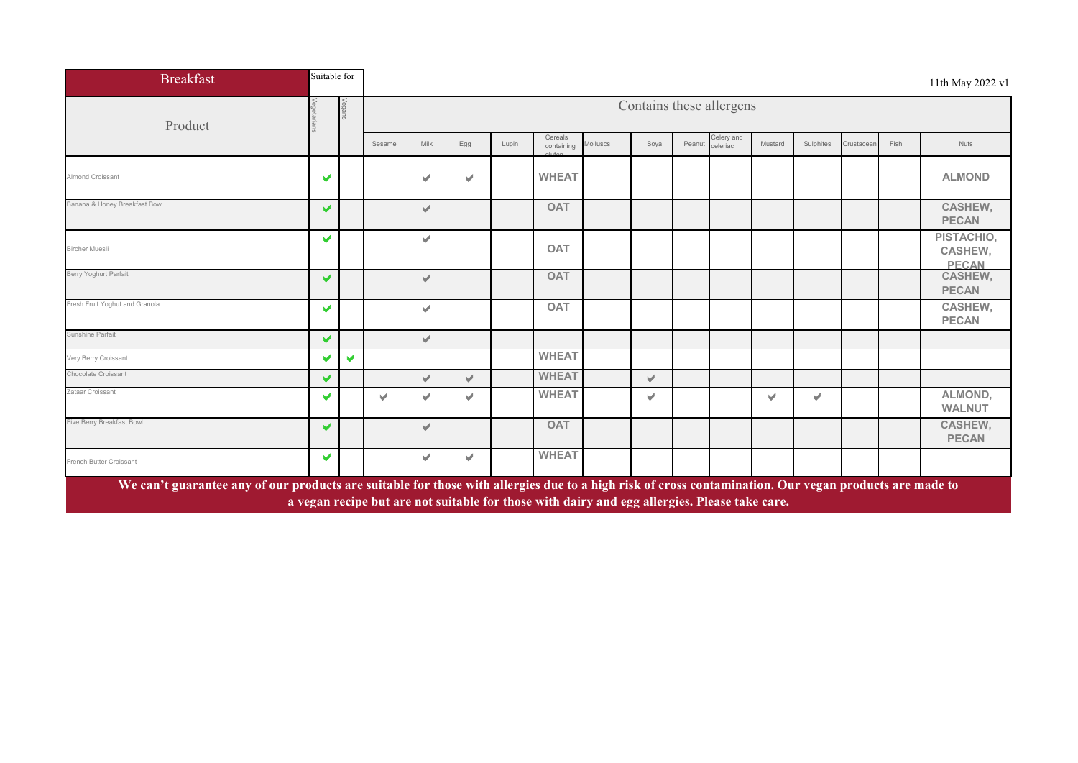| <b>Breakfast</b>                                                                                                                                       | Suitable for          |        |        |           |     |       |                                                                                               |          |                          |        |                        |         |           |            |      | 11th May 2022 v1                             |
|--------------------------------------------------------------------------------------------------------------------------------------------------------|-----------------------|--------|--------|-----------|-----|-------|-----------------------------------------------------------------------------------------------|----------|--------------------------|--------|------------------------|---------|-----------|------------|------|----------------------------------------------|
| Product                                                                                                                                                |                       | Vegans |        |           |     |       |                                                                                               |          | Contains these allergens |        |                        |         |           |            |      |                                              |
|                                                                                                                                                        |                       |        | Sesame | Milk      | Egg | Lupin | Cereals<br>containing                                                                         | Molluscs | Soya                     | Peanut | Celery and<br>celeriac | Mustard | Sulphites | Crustacean | Fish | <b>Nuts</b>                                  |
| <b>Almond Croissant</b>                                                                                                                                | V                     |        |        | V         | v   |       | <b>WHEAT</b>                                                                                  |          |                          |        |                        |         |           |            |      | <b>ALMOND</b>                                |
| Banana & Honey Breakfast Bowl                                                                                                                          | ✔                     |        |        | V         |     |       | <b>OAT</b>                                                                                    |          |                          |        |                        |         |           |            |      | CASHEW,<br><b>PECAN</b>                      |
| <b>Bircher Muesli</b>                                                                                                                                  | V                     |        |        | V         |     |       | <b>OAT</b>                                                                                    |          |                          |        |                        |         |           |            |      | PISTACHIO,<br><b>CASHEW,</b><br><b>PECAN</b> |
| Berry Yoghurt Parfait                                                                                                                                  | ✔                     |        |        | $\forall$ |     |       | <b>OAT</b>                                                                                    |          |                          |        |                        |         |           |            |      | CASHEW,<br><b>PECAN</b>                      |
| Fresh Fruit Yoghut and Granola                                                                                                                         | v                     |        |        | V         |     |       | <b>OAT</b>                                                                                    |          |                          |        |                        |         |           |            |      | <b>CASHEW,</b><br><b>PECAN</b>               |
| Sunshine Parfait                                                                                                                                       | V                     |        |        | $\forall$ |     |       |                                                                                               |          |                          |        |                        |         |           |            |      |                                              |
| Very Berry Croissant                                                                                                                                   |                       | V      |        |           |     |       | <b>WHEAT</b>                                                                                  |          |                          |        |                        |         |           |            |      |                                              |
| Chocolate Croissant                                                                                                                                    | V                     |        |        | V         | v.  |       | <b>WHEAT</b>                                                                                  |          | v.                       |        |                        |         |           |            |      |                                              |
| Zataar Croissant                                                                                                                                       | V                     |        | v      | ✓         | v   |       | <b>WHEAT</b>                                                                                  |          | v                        |        |                        | v       | v         |            |      | ALMOND,<br><b>WALNUT</b>                     |
| Five Berry Breakfast Bowl                                                                                                                              | $\blacktriangleright$ |        |        | V         |     |       | <b>OAT</b>                                                                                    |          |                          |        |                        |         |           |            |      | <b>CASHEW,</b><br><b>PECAN</b>               |
| French Butter Croissant                                                                                                                                | v                     |        |        | V         | v.  |       | <b>WHEAT</b>                                                                                  |          |                          |        |                        |         |           |            |      |                                              |
| We can't guarantee any of our products are suitable for those with allergies due to a high risk of cross contamination. Our vegan products are made to |                       |        |        |           |     |       | a vegan recipe but are not suitable for those with dairy and egg allergies. Please take care. |          |                          |        |                        |         |           |            |      |                                              |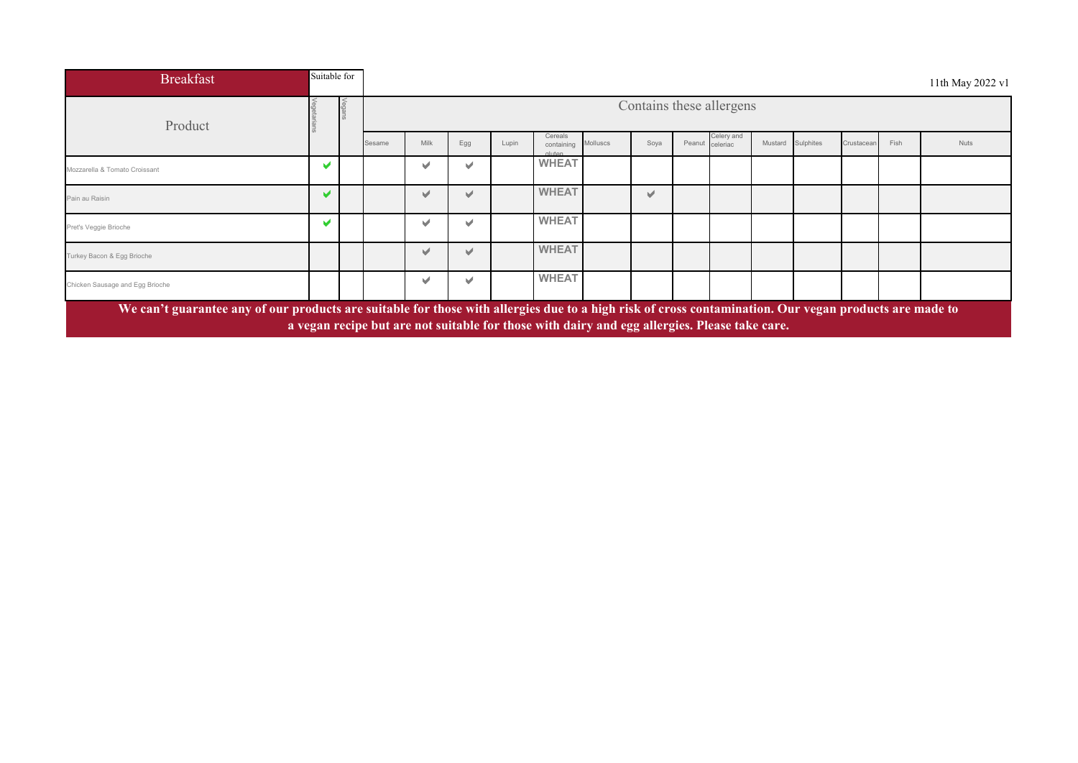| <b>Breakfast</b>                                                                                                                                       |   | Suitable for |                                                   |      |     |       |                                                                                               |          |      |        |          |         |           |            |      | 11th May 2022 v1 |
|--------------------------------------------------------------------------------------------------------------------------------------------------------|---|--------------|---------------------------------------------------|------|-----|-------|-----------------------------------------------------------------------------------------------|----------|------|--------|----------|---------|-----------|------------|------|------------------|
| Product                                                                                                                                                |   |              | Contains these allergens<br>Cereals<br>Celery and |      |     |       |                                                                                               |          |      |        |          |         |           |            |      |                  |
|                                                                                                                                                        |   |              | Sesame                                            | Milk | Egg | Lupin | containing<br>dluten                                                                          | Molluscs | Soya | Peanut | celeriac | Mustard | Sulphites | Crustacean | Fish | <b>Nuts</b>      |
| Mozzarella & Tomato Croissant                                                                                                                          | v |              |                                                   | v    |     |       | <b>WHEAT</b>                                                                                  |          |      |        |          |         |           |            |      |                  |
| Pain au Raisin                                                                                                                                         | v |              |                                                   | v    |     |       | <b>WHEAT</b>                                                                                  |          | v    |        |          |         |           |            |      |                  |
| Pret's Veggie Brioche                                                                                                                                  | v |              |                                                   | v    |     |       | <b>WHEAT</b>                                                                                  |          |      |        |          |         |           |            |      |                  |
| Turkey Bacon & Egg Brioche                                                                                                                             |   |              |                                                   | ✔    |     |       | <b>WHEAT</b>                                                                                  |          |      |        |          |         |           |            |      |                  |
| Chicken Sausage and Egg Brioche                                                                                                                        |   |              |                                                   | м    |     |       | <b>WHEAT</b>                                                                                  |          |      |        |          |         |           |            |      |                  |
| We can't guarantee any of our products are suitable for those with allergies due to a high risk of cross contamination. Our vegan products are made to |   |              |                                                   |      |     |       | a vegan recipe but are not suitable for those with dairy and egg allergies. Please take care. |          |      |        |          |         |           |            |      |                  |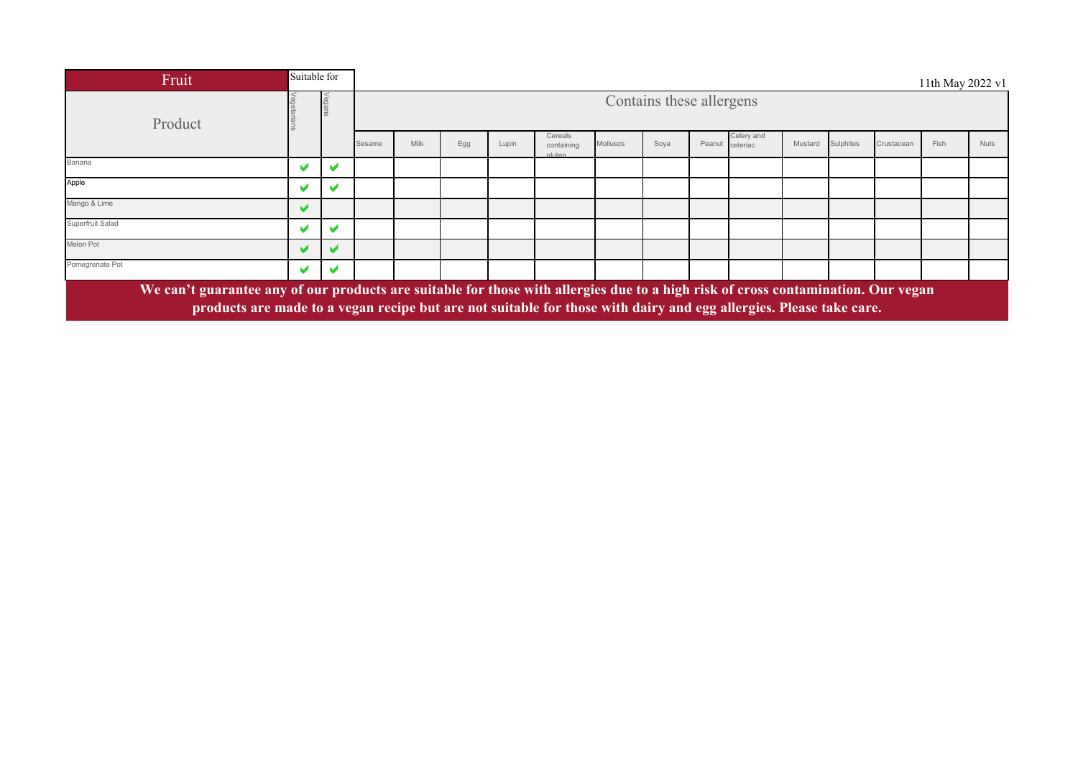| Fruit                                                                                                                                                                                                                                                   | Suitable for          |   |                                                                                                                                                             |  |  |  |  |  |                          |  |  |  |  |  | 11th May 2022 v1 |             |  |
|---------------------------------------------------------------------------------------------------------------------------------------------------------------------------------------------------------------------------------------------------------|-----------------------|---|-------------------------------------------------------------------------------------------------------------------------------------------------------------|--|--|--|--|--|--------------------------|--|--|--|--|--|------------------|-------------|--|
| Product                                                                                                                                                                                                                                                 |                       |   |                                                                                                                                                             |  |  |  |  |  | Contains these allergens |  |  |  |  |  |                  |             |  |
|                                                                                                                                                                                                                                                         |                       |   | Celery and<br>Cereals<br>Peanut celeriac<br>Sulphites<br>Milk<br>Egg<br>Lupin<br>Soya<br>Molluscs<br>Crustacean<br>Mustard<br>Sesame<br>containing<br>duten |  |  |  |  |  |                          |  |  |  |  |  |                  | <b>Nuts</b> |  |
| Banana                                                                                                                                                                                                                                                  |                       |   |                                                                                                                                                             |  |  |  |  |  |                          |  |  |  |  |  |                  |             |  |
| Apple                                                                                                                                                                                                                                                   |                       |   |                                                                                                                                                             |  |  |  |  |  |                          |  |  |  |  |  |                  |             |  |
| Mango & Lime                                                                                                                                                                                                                                            | $\blacktriangleright$ |   |                                                                                                                                                             |  |  |  |  |  |                          |  |  |  |  |  |                  |             |  |
| Superfruit Salad                                                                                                                                                                                                                                        | M                     | M |                                                                                                                                                             |  |  |  |  |  |                          |  |  |  |  |  |                  |             |  |
| Melon Pot                                                                                                                                                                                                                                               |                       |   |                                                                                                                                                             |  |  |  |  |  |                          |  |  |  |  |  |                  |             |  |
| Pomegrenate Pot                                                                                                                                                                                                                                         | M                     |   |                                                                                                                                                             |  |  |  |  |  |                          |  |  |  |  |  |                  |             |  |
| We can't guarantee any of our products are suitable for those with allergies due to a high risk of cross contamination. Our vegan<br>products are made to a vegan recipe but are not suitable for those with dairy and egg allergies. Please take care. |                       |   |                                                                                                                                                             |  |  |  |  |  |                          |  |  |  |  |  |                  |             |  |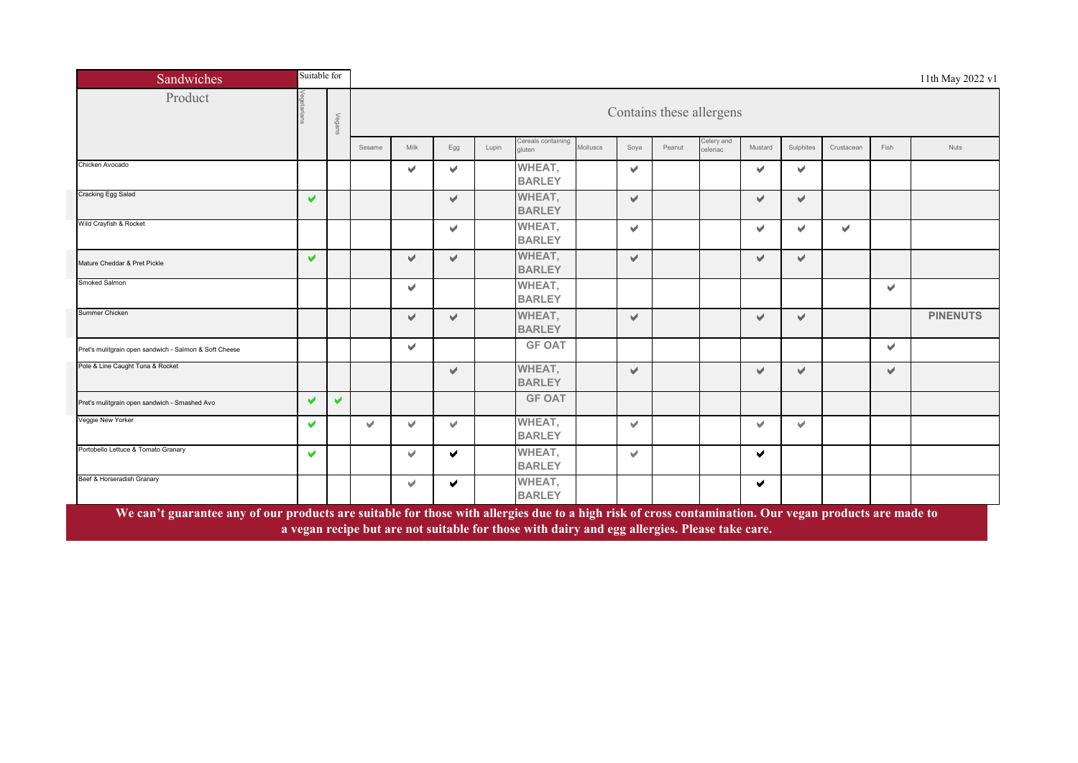| Sandwiches                                             | Suitable for          |        |        |                       |                       |       |                              |          |                           |                          |                        |                          |                       |            |      | 11th May 2022 v1 |
|--------------------------------------------------------|-----------------------|--------|--------|-----------------------|-----------------------|-------|------------------------------|----------|---------------------------|--------------------------|------------------------|--------------------------|-----------------------|------------|------|------------------|
| Product                                                |                       | Vegans |        |                       |                       |       |                              |          |                           | Contains these allergens |                        |                          |                       |            |      |                  |
|                                                        |                       |        | Sesame | Milk                  | Egg                   | Lupin | Cereals containing<br>gluten | Molluscs | Soya                      | Peanut                   | Celery and<br>celeriac | Mustard                  | Sulphites             | Crustacean | Fish | <b>Nuts</b>      |
| Chicken Avocado                                        |                       |        |        | v                     | $\blacktriangleright$ |       | WHEAT,<br><b>BARLEY</b>      |          | v                         |                          |                        | v                        | v                     |            |      |                  |
| Cracking Egg Salad                                     | $\blacktriangleright$ |        |        |                       | V                     |       | WHEAT,<br><b>BARLEY</b>      |          | V                         |                          |                        | v.                       | v                     |            |      |                  |
| Wild Crayfish & Rocket                                 |                       |        |        |                       | v                     |       | WHEAT,<br><b>BARLEY</b>      |          | V                         |                          |                        | $\overline{\mathcal{L}}$ | $\blacktriangleright$ | V          |      |                  |
| Mature Cheddar & Pret Pickle                           | V                     |        |        | v.                    | V                     |       | WHEAT,<br><b>BARLEY</b>      |          | V                         |                          |                        | $\mathcal{A}$            | $\mathcal{A}$         |            |      |                  |
| Smoked Salmon                                          |                       |        |        | v.                    |                       |       | WHEAT,<br><b>BARLEY</b>      |          |                           |                          |                        |                          |                       |            | v    |                  |
| Summer Chicken                                         |                       |        |        | v                     | $\sqrt{2}$            |       | WHEAT,<br><b>BARLEY</b>      |          | V                         |                          |                        | v                        | $\mathcal{A}$         |            |      | <b>PINENUTS</b>  |
| Pret's mulitgrain open sandwich - Salmon & Soft Cheese |                       |        |        | $\blacktriangleright$ |                       |       | <b>GF OAT</b>                |          |                           |                          |                        |                          |                       |            | w.   |                  |
| Pole & Line Caught Tuna & Rocket                       |                       |        |        |                       | $\blacktriangleright$ |       | WHEAT,<br><b>BARLEY</b>      |          | $\blacktriangleright$     |                          |                        | $\blacktriangleright$    | v                     |            | v.   |                  |
| Pret's mulitgrain open sandwich - Smashed Avo          | $\blacktriangleright$ | V      |        |                       |                       |       | <b>GF OAT</b>                |          |                           |                          |                        |                          |                       |            |      |                  |
| Veggie New Yorker                                      | $\blacktriangleright$ |        | Ŵ.     | v                     | v                     |       | WHEAT,<br><b>BARLEY</b>      |          | $\mathbf{w}^{\mathrm{r}}$ |                          |                        | u                        | v.                    |            |      |                  |
| Portobello Lettuce & Tomato Granary                    | $\blacktriangleright$ |        |        | v.                    | $\blacktriangleright$ |       | WHEAT,<br><b>BARLEY</b>      |          | v.                        |                          |                        | $\blacktriangleright$    |                       |            |      |                  |
| Beef & Horseradish Granary                             |                       |        |        | v                     | $\blacktriangleright$ |       | WHEAT,<br><b>BARLEY</b>      |          |                           |                          |                        | $\blacktriangleright$    |                       |            |      |                  |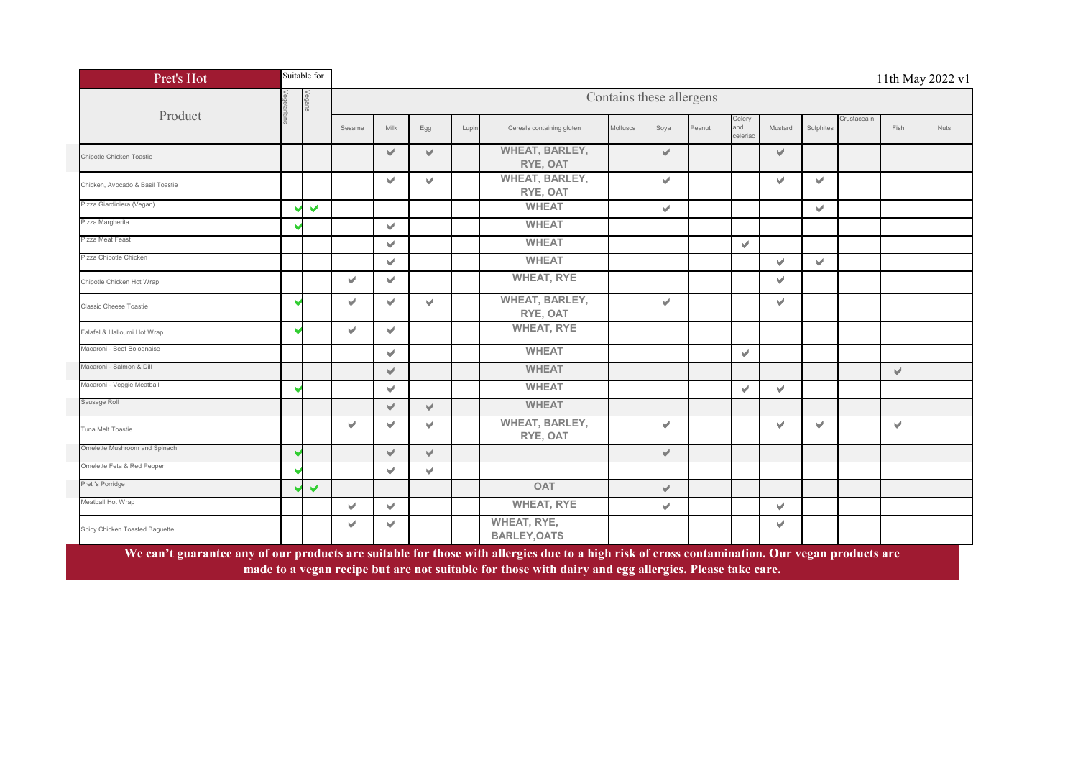| Pret's Hot                       | Suitable for         |        |      |     |       |                                           |          |                          |        |                           |                           |              |             |              | 11th May 2022 v1 |
|----------------------------------|----------------------|--------|------|-----|-------|-------------------------------------------|----------|--------------------------|--------|---------------------------|---------------------------|--------------|-------------|--------------|------------------|
|                                  | Vega                 |        |      |     |       |                                           |          | Contains these allergens |        |                           |                           |              |             |              |                  |
| Product                          |                      | Sesame | Milk | Egg | Lupin | Cereals containing gluten                 | Molluscs | Soya                     | Peanut | Celery<br>and<br>celeriac | Mustard                   | Sulphites    | Crustacea n | Fish         | Nuts             |
| Chipotle Chicken Toastie         |                      |        | V    | V   |       | <b>WHEAT, BARLEY,</b><br>RYE, OAT         |          | V                        |        |                           | v                         |              |             |              |                  |
| Chicken, Avocado & Basil Toastie |                      |        | V    | v   |       | <b>WHEAT, BARLEY,</b><br>RYE, OAT         |          | v                        |        |                           | v                         | v.           |             |              |                  |
| Pizza Giardiniera (Vegan)        | $\blacktriangledown$ |        |      |     |       | <b>WHEAT</b>                              |          | V                        |        |                           |                           | $\checkmark$ |             |              |                  |
| Pizza Margherita                 |                      |        | v    |     |       | <b>WHEAT</b>                              |          |                          |        |                           |                           |              |             |              |                  |
| Pizza Meat Feast                 |                      |        | v    |     |       | <b>WHEAT</b>                              |          |                          |        | V                         |                           |              |             |              |                  |
| Pizza Chipotle Chicken           |                      |        | v    |     |       | <b>WHEAT</b>                              |          |                          |        |                           | v                         | v.           |             |              |                  |
| Chipotle Chicken Hot Wrap        |                      | v      | v    |     |       | <b>WHEAT, RYE</b>                         |          |                          |        |                           | V                         |              |             |              |                  |
| <b>Classic Cheese Toastie</b>    |                      | v      | v    | V   |       | WHEAT, BARLEY,<br>RYE, OAT                |          | v                        |        |                           | v                         |              |             |              |                  |
| Falafel & Halloumi Hot Wrap      |                      | V      | V    |     |       | <b>WHEAT, RYE</b>                         |          |                          |        |                           |                           |              |             |              |                  |
| Macaroni - Beef Bolognaise       |                      |        | v    |     |       | <b>WHEAT</b>                              |          |                          |        | V                         |                           |              |             |              |                  |
| Macaroni - Salmon & Dill         |                      |        | V    |     |       | <b>WHEAT</b>                              |          |                          |        |                           |                           |              |             | $\checkmark$ |                  |
| Macaroni - Veggie Meatball       |                      |        | V    |     |       | <b>WHEAT</b>                              |          |                          |        | V                         | $\mathbf{v}^{\mathbf{d}}$ |              |             |              |                  |
| Sausage Roll                     |                      |        | V    | V   |       | <b>WHEAT</b>                              |          |                          |        |                           |                           |              |             |              |                  |
| Tuna Melt Toastie                |                      | v      | v    | ✔   |       | <b>WHEAT, BARLEY,</b><br>RYE, OAT         |          | V                        |        |                           | v                         | $\checkmark$ |             | v            |                  |
| Omelette Mushroom and Spinach    |                      |        | V    | V   |       |                                           |          | V                        |        |                           |                           |              |             |              |                  |
| Omelette Feta & Red Pepper       |                      |        | v    | v   |       |                                           |          |                          |        |                           |                           |              |             |              |                  |
| Pret 's Porridge                 | V                    |        |      |     |       | <b>OAT</b>                                |          | V                        |        |                           |                           |              |             |              |                  |
| Meatball Hot Wrap                |                      | v.     | v.   |     |       | <b>WHEAT, RYE</b>                         |          | V                        |        |                           | $\forall$                 |              |             |              |                  |
| Spicy Chicken Toasted Baguette   |                      | v      | v    |     |       | <b>WHEAT, RYE,</b><br><b>BARLEY, OATS</b> |          |                          |        |                           | $\checkmark$              |              |             |              |                  |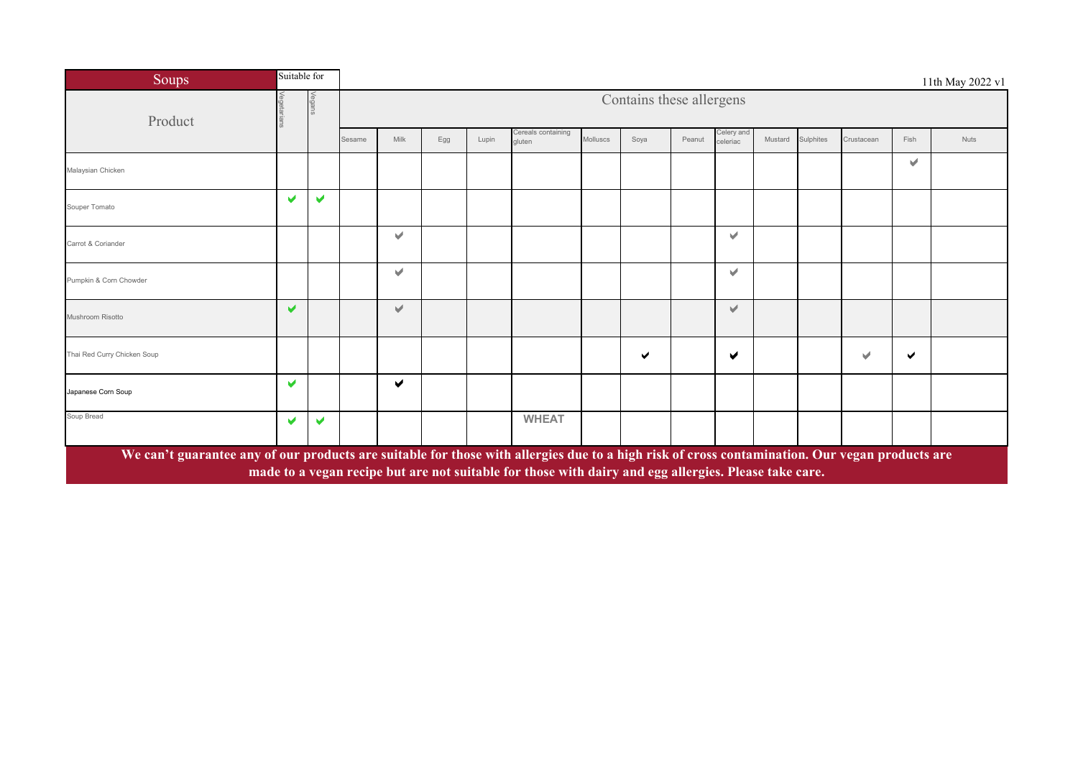| Soups                                                                                                                                          | Suitable for          |                       |        |      |     |       |                                                                                                       |          |                          |        |                        |         |           |            |      | 11th May 2022 v1 |
|------------------------------------------------------------------------------------------------------------------------------------------------|-----------------------|-----------------------|--------|------|-----|-------|-------------------------------------------------------------------------------------------------------|----------|--------------------------|--------|------------------------|---------|-----------|------------|------|------------------|
| Product                                                                                                                                        |                       |                       |        |      |     |       |                                                                                                       |          | Contains these allergens |        |                        |         |           |            |      |                  |
|                                                                                                                                                |                       |                       | Sesame | Milk | Egg | Lupin | Cereals containing<br>gluten                                                                          | Molluscs | Soya                     | Peanut | Celery and<br>celeriac | Mustard | Sulphites | Crustacean | Fish | Nuts             |
| Malaysian Chicken                                                                                                                              |                       |                       |        |      |     |       |                                                                                                       |          |                          |        |                        |         |           |            | v    |                  |
| Souper Tomato                                                                                                                                  | $\blacktriangleright$ | $\blacktriangleright$ |        |      |     |       |                                                                                                       |          |                          |        |                        |         |           |            |      |                  |
| Carrot & Coriander                                                                                                                             |                       |                       |        | v    |     |       |                                                                                                       |          |                          |        | $\mathcal{A}$          |         |           |            |      |                  |
| Pumpkin & Corn Chowder                                                                                                                         |                       |                       |        | V    |     |       |                                                                                                       |          |                          |        | v                      |         |           |            |      |                  |
| Mushroom Risotto                                                                                                                               | $\blacktriangleright$ |                       |        | V    |     |       |                                                                                                       |          |                          |        | v.                     |         |           |            |      |                  |
| Thai Red Curry Chicken Soup                                                                                                                    |                       |                       |        |      |     |       |                                                                                                       |          | ✔                        |        | ✔                      |         |           | M          | ✔    |                  |
| Japanese Corn Soup                                                                                                                             | ✔                     |                       |        | ✔    |     |       |                                                                                                       |          |                          |        |                        |         |           |            |      |                  |
| Soup Bread                                                                                                                                     | v                     | v                     |        |      |     |       | <b>WHEAT</b>                                                                                          |          |                          |        |                        |         |           |            |      |                  |
| We can't guarantee any of our products are suitable for those with allergies due to a high risk of cross contamination. Our vegan products are |                       |                       |        |      |     |       | made to a vegan recipe but are not suitable for those with dairy and egg allergies. Please take care. |          |                          |        |                        |         |           |            |      |                  |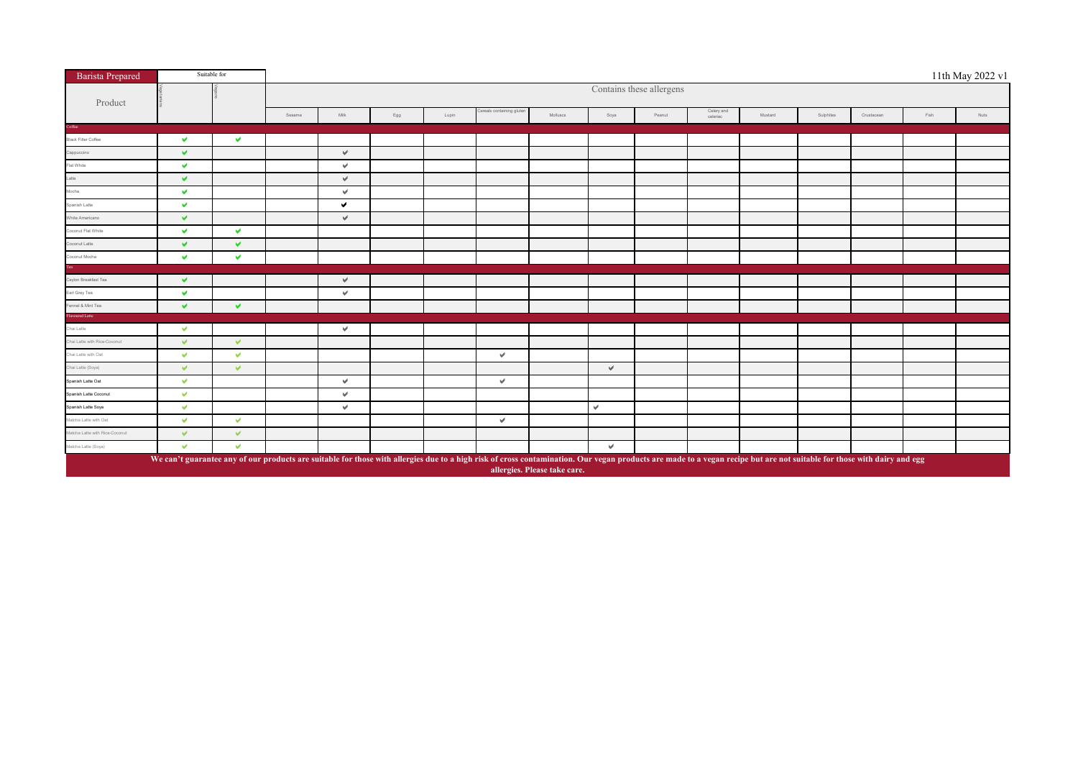| <b>Barista Prepared</b>        |              | Suitable for  |        |      |     |       |                           |                                                                                                                                                                                                                                                         |      |                          |                        |         |           |            |      | 11th May 2022 v1 |
|--------------------------------|--------------|---------------|--------|------|-----|-------|---------------------------|---------------------------------------------------------------------------------------------------------------------------------------------------------------------------------------------------------------------------------------------------------|------|--------------------------|------------------------|---------|-----------|------------|------|------------------|
| Product                        |              |               |        |      |     |       |                           |                                                                                                                                                                                                                                                         |      | Contains these allergens |                        |         |           |            |      |                  |
|                                |              |               | Sesame | Milk | Egg | Lupin | Cereals containing gluten | Molluscs                                                                                                                                                                                                                                                | Soya | Peanut                   | Celery and<br>celeriac | Mustard | Sulphites | Crustacean | Fish | Nuts             |
| Coffee                         |              |               |        |      |     |       |                           |                                                                                                                                                                                                                                                         |      |                          |                        |         |           |            |      |                  |
| <b>Black Filter Coffee</b>     | v            | v.            |        |      |     |       |                           |                                                                                                                                                                                                                                                         |      |                          |                        |         |           |            |      |                  |
| Cappuccino                     | v            |               |        | v.   |     |       |                           |                                                                                                                                                                                                                                                         |      |                          |                        |         |           |            |      |                  |
| Flat White                     | v            |               |        | v.   |     |       |                           |                                                                                                                                                                                                                                                         |      |                          |                        |         |           |            |      |                  |
| Latte                          | v            |               |        | v.   |     |       |                           |                                                                                                                                                                                                                                                         |      |                          |                        |         |           |            |      |                  |
| Mocha                          | v            |               |        | v.   |     |       |                           |                                                                                                                                                                                                                                                         |      |                          |                        |         |           |            |      |                  |
| Spanish Latte                  | v            |               |        | v    |     |       |                           |                                                                                                                                                                                                                                                         |      |                          |                        |         |           |            |      |                  |
| White Americano                | v            |               |        | v.   |     |       |                           |                                                                                                                                                                                                                                                         |      |                          |                        |         |           |            |      |                  |
| Coconut Flat White             | v            | v.            |        |      |     |       |                           |                                                                                                                                                                                                                                                         |      |                          |                        |         |           |            |      |                  |
| Coconut Latte                  | v            | v.            |        |      |     |       |                           |                                                                                                                                                                                                                                                         |      |                          |                        |         |           |            |      |                  |
| Coconut Mocha                  | v            | v             |        |      |     |       |                           |                                                                                                                                                                                                                                                         |      |                          |                        |         |           |            |      |                  |
|                                |              |               |        |      |     |       |                           |                                                                                                                                                                                                                                                         |      |                          |                        |         |           |            |      |                  |
| Ceylon Breakfast Tea           | $\checkmark$ |               |        | v.   |     |       |                           |                                                                                                                                                                                                                                                         |      |                          |                        |         |           |            |      |                  |
| Earl Grey Tea                  | v            |               |        | v.   |     |       |                           |                                                                                                                                                                                                                                                         |      |                          |                        |         |           |            |      |                  |
| Fennel & Mint Tea              | v            | v.            |        |      |     |       |                           |                                                                                                                                                                                                                                                         |      |                          |                        |         |           |            |      |                  |
| Flavoured Latte                |              |               |        |      |     |       |                           |                                                                                                                                                                                                                                                         |      |                          |                        |         |           |            |      |                  |
| Chai Latte                     | v            |               |        | v.   |     |       |                           |                                                                                                                                                                                                                                                         |      |                          |                        |         |           |            |      |                  |
| Chai Latte with Rice-Coconut   | $\vee$       | $\mathcal{L}$ |        |      |     |       |                           |                                                                                                                                                                                                                                                         |      |                          |                        |         |           |            |      |                  |
| Chai Latte with Oat            | $\checkmark$ | v.            |        |      |     |       | $\forall$                 |                                                                                                                                                                                                                                                         |      |                          |                        |         |           |            |      |                  |
| Chai Latte (Soya)              | $\checkmark$ | $\mathbf{v}$  |        |      |     |       |                           |                                                                                                                                                                                                                                                         | v.   |                          |                        |         |           |            |      |                  |
| Spanish Latte Oat              | $\mathbf{v}$ |               |        | v    |     |       | $\vee$                    |                                                                                                                                                                                                                                                         |      |                          |                        |         |           |            |      |                  |
| Spanish Latte Coconut          | $\checkmark$ |               |        | v.   |     |       |                           |                                                                                                                                                                                                                                                         |      |                          |                        |         |           |            |      |                  |
| Spanish Latte Soya             | $\checkmark$ |               |        | v.   |     |       |                           |                                                                                                                                                                                                                                                         | v.   |                          |                        |         |           |            |      |                  |
| Matcha Latte with Oat          | $\checkmark$ | v.            |        |      |     |       | $\forall$                 |                                                                                                                                                                                                                                                         |      |                          |                        |         |           |            |      |                  |
| Matcha Latte with Rice-Coconut | v            | v.            |        |      |     |       |                           |                                                                                                                                                                                                                                                         |      |                          |                        |         |           |            |      |                  |
| Matcha Latte (Soya)            | v            | $\mathcal{L}$ |        |      |     |       |                           |                                                                                                                                                                                                                                                         | v.   |                          |                        |         |           |            |      |                  |
|                                |              |               |        |      |     |       |                           | We can't guarantee any of our products are suitable for those with allergies due to a high risk of cross contamination. Our vegan products are made to a vegan recipe but are not suitable for those with dairy and egg<br>allergies. Please take care. |      |                          |                        |         |           |            |      |                  |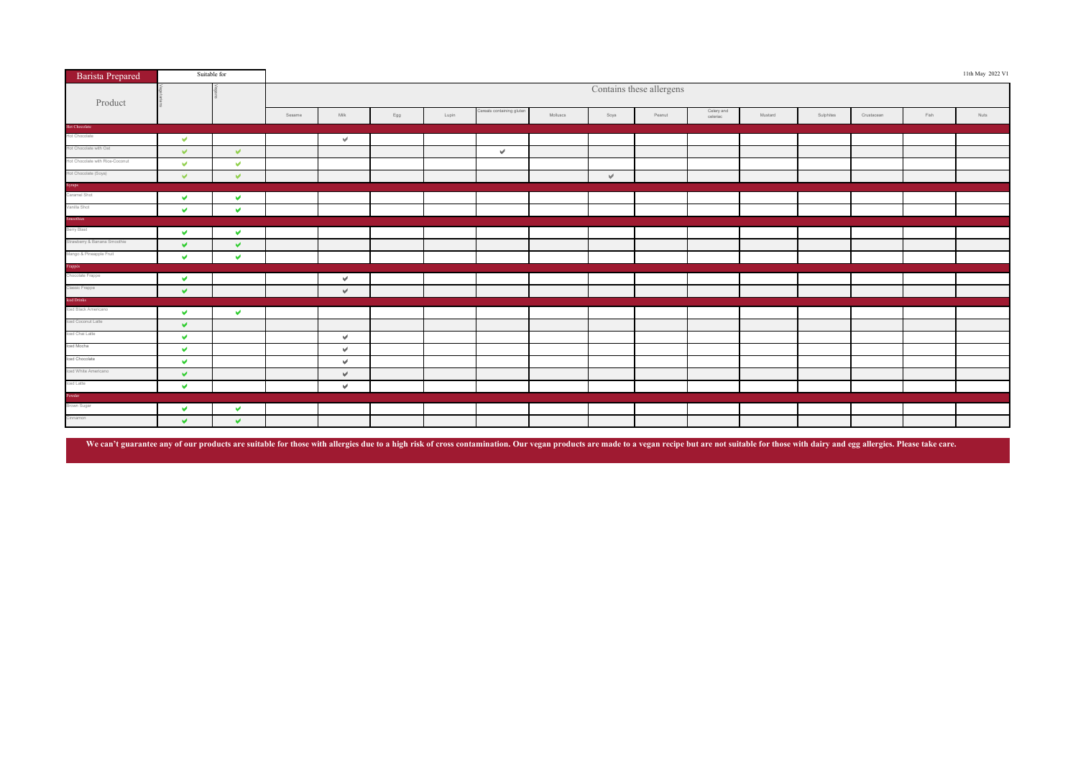| <b>Barista Prepared</b>                        |                      | Suitable for         |        |               |     |       |                           |          |      |                          |                        |         |           |            |      | 11th May 2022 V1 |
|------------------------------------------------|----------------------|----------------------|--------|---------------|-----|-------|---------------------------|----------|------|--------------------------|------------------------|---------|-----------|------------|------|------------------|
| Product                                        |                      |                      |        |               |     |       |                           |          |      | Contains these allergens |                        |         |           |            |      |                  |
|                                                |                      |                      | Sesame | $\text{Milk}$ | Egg | Lupin | Cereals containing gluter | Molluscs | Soya | Peanut                   | Celery and<br>celeriac | Mustard | Sulphites | Crustacean | Fish | Nuts             |
| <b>Hot Chocolate</b><br>Hot Chocolate          |                      |                      |        |               |     |       |                           |          |      |                          |                        |         |           |            |      |                  |
|                                                | $\mathbf{v}$         |                      |        | v.            |     |       |                           |          |      |                          |                        |         |           |            |      |                  |
| Hot Chocolate with Oat                         | $\mathcal{A}$        | $\mathcal{A}$        |        |               |     |       | $\mathbf{u}^{\mathbf{d}}$ |          |      |                          |                        |         |           |            |      |                  |
| Hot Chocolate with Rice-Coconut                | $\mathbf{v}$         | $\mathcal{A}$        |        |               |     |       |                           |          |      |                          |                        |         |           |            |      |                  |
| Hot Chocolate (Soya)<br>Syrups<br>Caramel Shot | $\vee$               | $\vee$               |        |               |     |       |                           |          | v.   |                          |                        |         |           |            |      |                  |
|                                                |                      |                      |        |               |     |       |                           |          |      |                          |                        |         |           |            |      |                  |
|                                                | $\vee$               | $\blacktriangledown$ |        |               |     |       |                           |          |      |                          |                        |         |           |            |      |                  |
| Vanilla Shot                                   | $\blacktriangledown$ | $\blacktriangledown$ |        |               |     |       |                           |          |      |                          |                        |         |           |            |      |                  |
|                                                |                      |                      |        |               |     |       |                           |          |      |                          |                        |         |           |            |      |                  |
| <b>Smoothies</b><br>Berry Blast                | $\checkmark$         | $\mathbf{v}$         |        |               |     |       |                           |          |      |                          |                        |         |           |            |      |                  |
| Strawberry & Banana Smoothie                   | $\vee$               | $\blacktriangledown$ |        |               |     |       |                           |          |      |                          |                        |         |           |            |      |                  |
| Mango & Pineapple Fruit                        | $\blacktriangledown$ | $\mathbf{v}$         |        |               |     |       |                           |          |      |                          |                        |         |           |            |      |                  |
|                                                |                      |                      |        |               |     |       |                           |          |      |                          |                        |         |           |            |      |                  |
| <b>Frappés</b><br>Chocolate Frappe             | $\mathbf{v}$         |                      |        | v.            |     |       |                           |          |      |                          |                        |         |           |            |      |                  |
| Classic Frappe                                 | $\blacktriangledown$ |                      |        | $\mathcal{A}$ |     |       |                           |          |      |                          |                        |         |           |            |      |                  |
|                                                |                      |                      |        |               |     |       |                           |          |      |                          |                        |         |           |            |      |                  |
| lced Drinks<br>Iced Black Americano            | $\mathbf{v}$         | $\mathbf{v}$         |        |               |     |       |                           |          |      |                          |                        |         |           |            |      |                  |
| Iced Coconut Latte                             | $\mathbf{v}$         |                      |        |               |     |       |                           |          |      |                          |                        |         |           |            |      |                  |
| Iced Chai Latte                                | $\mathcal{P}$        |                      |        | v.            |     |       |                           |          |      |                          |                        |         |           |            |      |                  |
| Iced Mocha                                     | $\blacktriangledown$ |                      |        | v.            |     |       |                           |          |      |                          |                        |         |           |            |      |                  |
| Iced Chocolate                                 | $\blacktriangledown$ |                      |        | v.            |     |       |                           |          |      |                          |                        |         |           |            |      |                  |
| Iced White Americano                           | $\vee$               |                      |        | v.            |     |       |                           |          |      |                          |                        |         |           |            |      |                  |
| Iced Latte                                     | $\blacktriangledown$ |                      |        | $\forall$     |     |       |                           |          |      |                          |                        |         |           |            |      |                  |
|                                                |                      |                      |        |               |     |       |                           |          |      |                          |                        |         |           |            |      |                  |
| <b>Powder</b><br>Brown Sugar                   | v.                   | $\blacktriangledown$ |        |               |     |       |                           |          |      |                          |                        |         |           |            |      |                  |
| Cinnamon<br>Ц                                  | $\blacktriangledown$ | $\mathcal{A}$        |        |               |     |       |                           |          |      |                          |                        |         |           |            |      |                  |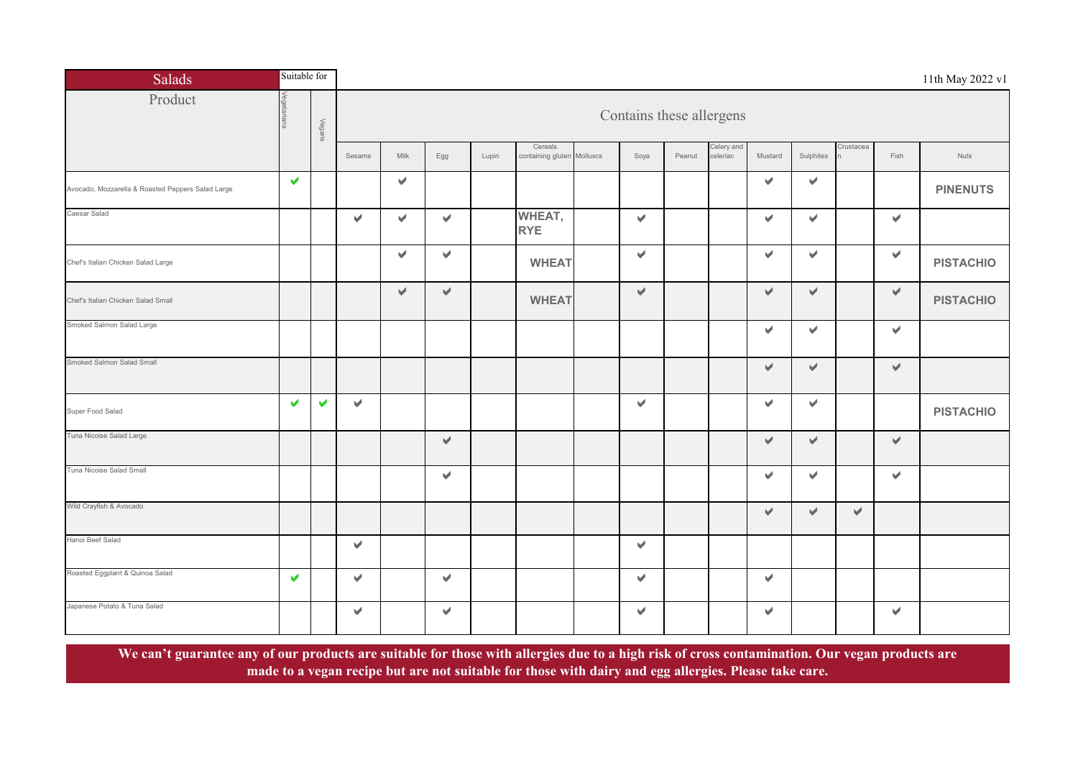| <b>Salads</b>                                     | Suitable for          |                       |              |                       |                       |       |                                       |  |                          |        |                        |         |                       |               | 11th May 2022 v1      |                  |
|---------------------------------------------------|-----------------------|-----------------------|--------------|-----------------------|-----------------------|-------|---------------------------------------|--|--------------------------|--------|------------------------|---------|-----------------------|---------------|-----------------------|------------------|
| Product                                           |                       | Vegans                |              |                       |                       |       |                                       |  | Contains these allergens |        |                        |         |                       |               |                       |                  |
|                                                   |                       |                       | Sesame       | Milk                  | Egg                   | Lupin | Cereals<br>containing gluten Molluscs |  | Soya                     | Peanut | Celery and<br>celeriac | Mustard | Sulphites             | Crustacea     | Fish                  | Nuts             |
| Avocado, Mozzarella & Roasted Peppers Salad Large | $\blacktriangleright$ |                       |              | V.                    |                       |       |                                       |  |                          |        |                        | v.      | V.                    |               |                       | <b>PINENUTS</b>  |
| Caesar Salad                                      |                       |                       | $\mathbf{v}$ | v                     | V                     |       | WHEAT,<br><b>RYE</b>                  |  | $\blacktriangledown$     |        |                        | v.      | $\blacktriangleright$ |               | $\blacktriangleright$ |                  |
| Chef's Italian Chicken Salad Large                |                       |                       |              | $\blacktriangleright$ | v                     |       | <b>WHEAT</b>                          |  | $\mathbf{v}$             |        |                        | v.      | $\blacktriangleright$ |               | $\mathbf{v}$          | <b>PISTACHIO</b> |
| Chef's Italian Chicken Salad Small                |                       |                       |              | V.                    | V                     |       | <b>WHEAT</b>                          |  | $\blacktriangledown$     |        |                        | v.      | V                     |               | $\mathbf{v}^{\prime}$ | <b>PISTACHIO</b> |
| Smoked Salmon Salad Large                         |                       |                       |              |                       |                       |       |                                       |  |                          |        |                        | v.      | V                     |               | $\blacktriangledown$  |                  |
| Smoked Salmon Salad Small                         |                       |                       |              |                       |                       |       |                                       |  |                          |        |                        | v.      | V                     |               | $\blacktriangledown$  |                  |
| Super Food Salad                                  | V                     | $\blacktriangleright$ | V            |                       |                       |       |                                       |  | $\blacktriangledown$     |        |                        | v.      | $\blacktriangleright$ |               |                       | <b>PISTACHIO</b> |
| Tuna Nicoise Salad Large                          |                       |                       |              |                       | V                     |       |                                       |  |                          |        |                        | V.      | V                     |               | $\blacktriangledown$  |                  |
| Tuna Nicoise Salad Small                          |                       |                       |              |                       | $\blacktriangledown$  |       |                                       |  |                          |        |                        | V.      | $\blacktriangleright$ |               | $\blacktriangleright$ |                  |
| Wild Crayfish & Avocado                           |                       |                       |              |                       |                       |       |                                       |  |                          |        |                        | V.      | v.                    | $\mathcal{A}$ |                       |                  |
| Hanoi Beef Salad                                  |                       |                       | v.           |                       |                       |       |                                       |  | $\blacktriangledown$     |        |                        |         |                       |               |                       |                  |
| Roasted Eggplant & Quinoa Salad                   | $\blacktriangleright$ |                       | V            |                       | $\blacktriangleright$ |       |                                       |  | $\mathbf{v}$             |        |                        | v.      |                       |               |                       |                  |
| Japanese Potato & Tuna Salad                      |                       |                       | v.           |                       | V                     |       |                                       |  | $\blacktriangleright$    |        |                        | v.      |                       |               | $\blacktriangledown$  |                  |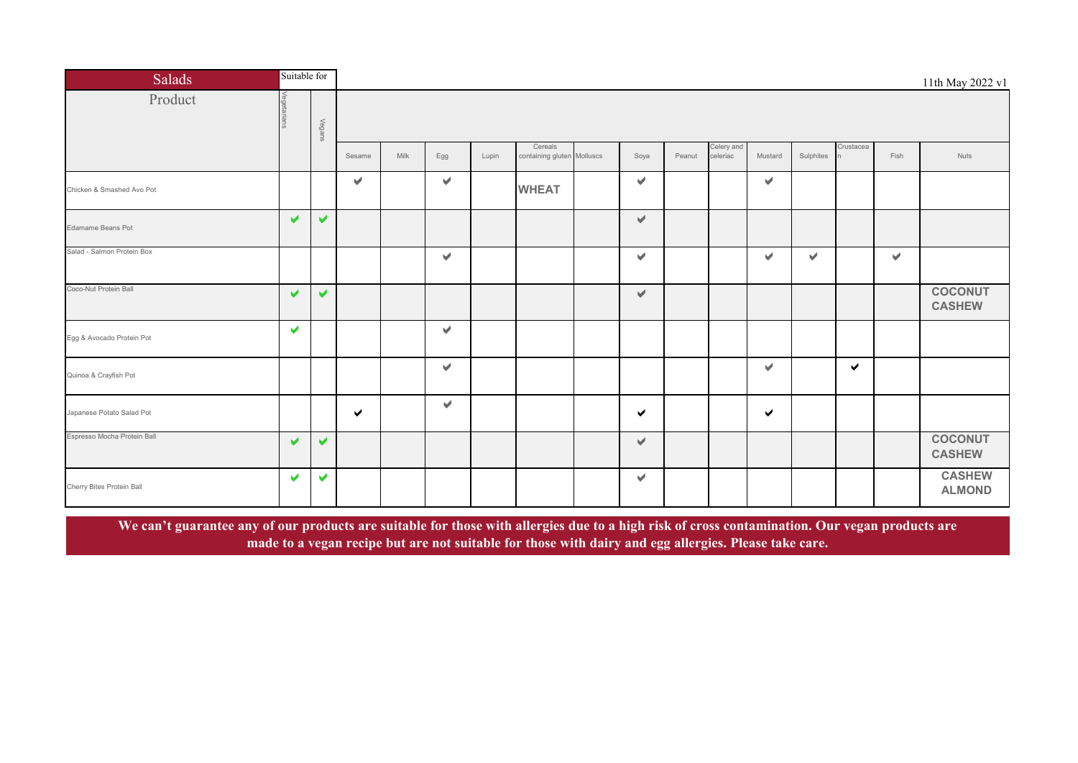| <b>Salads</b>               | Suitable for          |                       |        |      |                       |       |                                       |  |                       |        |                        |              |           |              |      | 11th May 2022 v1                |
|-----------------------------|-----------------------|-----------------------|--------|------|-----------------------|-------|---------------------------------------|--|-----------------------|--------|------------------------|--------------|-----------|--------------|------|---------------------------------|
| Product                     | Veg                   | Vegans                |        |      |                       |       |                                       |  |                       |        |                        |              |           |              |      |                                 |
|                             |                       |                       | Sesame | Milk | Egg                   | Lupin | Cereals<br>containing gluten Molluscs |  | Soya                  | Peanut | Celery and<br>celeriac | Mustard      | Sulphites | Crustacea    | Fish | <b>Nuts</b>                     |
| Chicken & Smashed Avo Pot   |                       |                       | v      |      | v.                    |       | <b>WHEAT</b>                          |  | $\blacktriangleright$ |        |                        | $\mathbf{v}$ |           |              |      |                                 |
| Edamame Beans Pot           | $\blacktriangledown$  | $\blacktriangleright$ |        |      |                       |       |                                       |  | $\blacktriangledown$  |        |                        |              |           |              |      |                                 |
| Salad - Salmon Protein Box  |                       |                       |        |      | V.                    |       |                                       |  | $\blacktriangleright$ |        |                        | v            | V         |              | V.   |                                 |
| Coco-Nut Protein Ball       | ✔                     | ✔                     |        |      |                       |       |                                       |  | $\blacktriangleright$ |        |                        |              |           |              |      | <b>COCONUT</b><br><b>CASHEW</b> |
| Egg & Avocado Protein Pot   | V                     |                       |        |      | ✔                     |       |                                       |  |                       |        |                        |              |           |              |      |                                 |
| Quinoa & Crayfish Pot       |                       |                       |        |      | V.                    |       |                                       |  |                       |        |                        | v.           |           | $\checkmark$ |      |                                 |
| Japanese Potato Salad Pot   |                       |                       | ✔      |      | $\blacktriangleright$ |       |                                       |  | ✔                     |        |                        | ✔            |           |              |      |                                 |
| Espresso Mocha Protein Ball | $\blacktriangleright$ | $\blacktriangleright$ |        |      |                       |       |                                       |  | $\blacktriangleright$ |        |                        |              |           |              |      | <b>COCONUT</b><br><b>CASHEW</b> |
| Cherry Bites Protein Ball   | $\blacktriangledown$  | $\blacktriangleright$ |        |      |                       |       |                                       |  | $\blacktriangleright$ |        |                        |              |           |              |      | <b>CASHEW</b><br><b>ALMOND</b>  |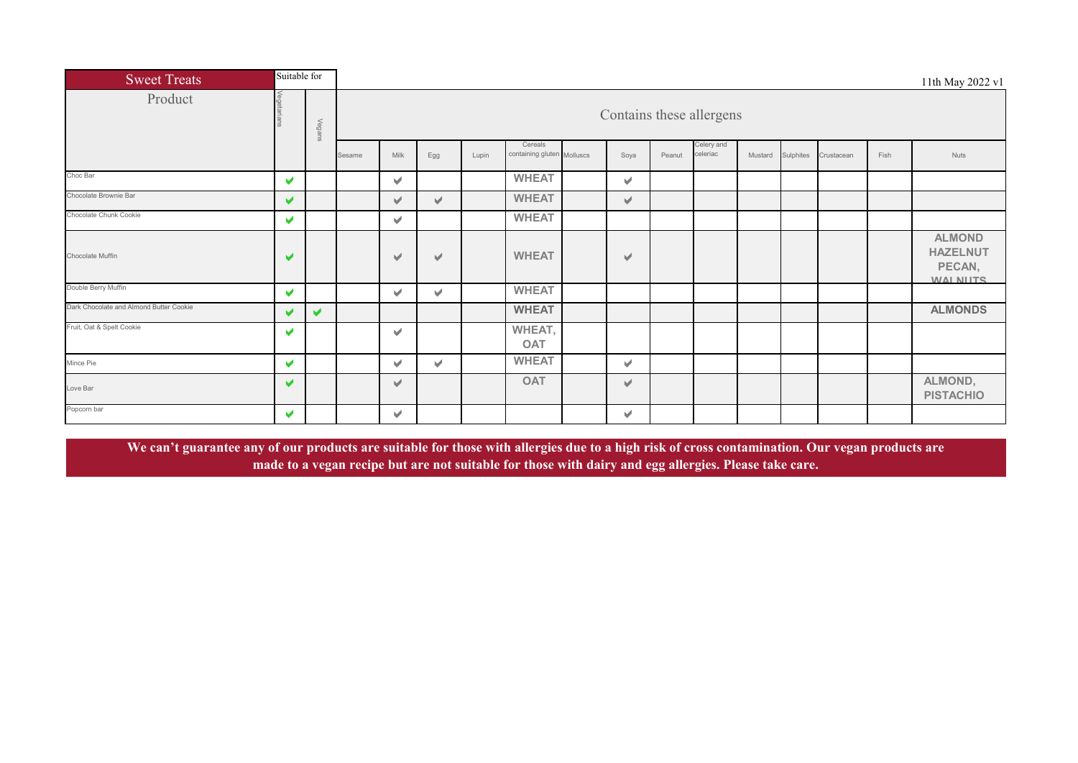| <b>Sweet Treats</b>                     | Suitable for          |        |        |                          |              |       |                                       |  |              |        |                        |         |           |            |      | 11th May 2022 v1                                              |  |
|-----------------------------------------|-----------------------|--------|--------|--------------------------|--------------|-------|---------------------------------------|--|--------------|--------|------------------------|---------|-----------|------------|------|---------------------------------------------------------------|--|
| Product                                 |                       | Vegans |        | Contains these allergens |              |       |                                       |  |              |        |                        |         |           |            |      |                                                               |  |
|                                         |                       |        | Sesame | Milk                     | Egg          | Lupin | Cereals<br>containing gluten Molluscs |  | Soya         | Peanut | Celery and<br>celeriac | Mustard | Sulphites | Crustacean | Fish | Nuts                                                          |  |
| Choc Bar                                | $\blacktriangleright$ |        |        | $\mathcal{A}$            |              |       | <b>WHEAT</b>                          |  | v            |        |                        |         |           |            |      |                                                               |  |
| Chocolate Brownie Bar                   | $\blacktriangleright$ |        |        | $\vee$                   | $\vee$       |       | <b>WHEAT</b>                          |  | $\vee$       |        |                        |         |           |            |      |                                                               |  |
| Chocolate Chunk Cookie                  | v                     |        |        | V                        |              |       | <b>WHEAT</b>                          |  |              |        |                        |         |           |            |      |                                                               |  |
| Chocolate Muffin                        | $\blacktriangledown$  |        |        | $\vee$                   | V            |       | <b>WHEAT</b>                          |  | v            |        |                        |         |           |            |      | <b>ALMOND</b><br><b>HAZELNUT</b><br>PECAN,<br><b>WALNIITS</b> |  |
| Double Berry Muffin                     | $\blacktriangleright$ |        |        | V                        | v            |       | <b>WHEAT</b>                          |  |              |        |                        |         |           |            |      |                                                               |  |
| Dark Chocolate and Almond Butter Cookie | V                     | ✔      |        |                          |              |       | <b>WHEAT</b>                          |  |              |        |                        |         |           |            |      | <b>ALMONDS</b>                                                |  |
| Fruit, Oat & Spelt Cookie               | v                     |        |        | V                        |              |       | WHEAT,<br><b>OAT</b>                  |  |              |        |                        |         |           |            |      |                                                               |  |
| Mince Pie                               | $\blacktriangledown$  |        |        | $\vee$                   | $\checkmark$ |       | <b>WHEAT</b>                          |  | $\checkmark$ |        |                        |         |           |            |      |                                                               |  |
| Love Bar                                | ✔                     |        |        | V                        |              |       | <b>OAT</b>                            |  | $\vee$       |        |                        |         |           |            |      | ALMOND,<br><b>PISTACHIO</b>                                   |  |
| Popcorn bar                             | v.                    |        |        | $\vee$                   |              |       |                                       |  | v            |        |                        |         |           |            |      |                                                               |  |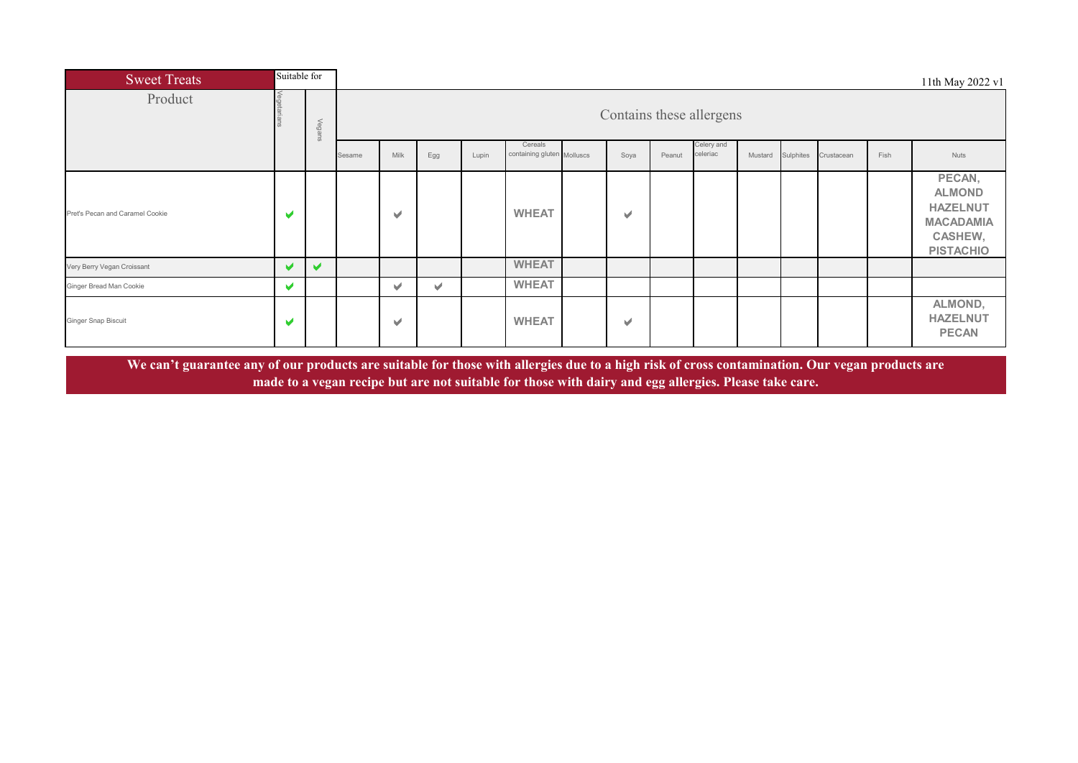| <b>Sweet Treats</b>             | Suitable for          |        |        |                          |     |       |                                       |  |              |        |                        |         |           |            |      | 11th May 2022 v1                                                                              |
|---------------------------------|-----------------------|--------|--------|--------------------------|-----|-------|---------------------------------------|--|--------------|--------|------------------------|---------|-----------|------------|------|-----------------------------------------------------------------------------------------------|
| Product                         |                       | Vegans |        | Contains these allergens |     |       |                                       |  |              |        |                        |         |           |            |      |                                                                                               |
|                                 |                       |        | Sesame | Milk                     | Egg | Lupin | Cereals<br>containing gluten Molluscs |  | Soya         | Peanut | Celery and<br>celeriac | Mustard | Sulphites | Crustacean | Fish | Nuts                                                                                          |
| Pret's Pecan and Caramel Cookie | $\blacktriangleright$ |        |        | v                        |     |       | <b>WHEAT</b>                          |  | v            |        |                        |         |           |            |      | PECAN,<br><b>ALMOND</b><br><b>HAZELNUT</b><br><b>MACADAMIA</b><br>CASHEW,<br><b>PISTACHIO</b> |
| Very Berry Vegan Croissant      | v                     | v      |        |                          |     |       | <b>WHEAT</b>                          |  |              |        |                        |         |           |            |      |                                                                                               |
| Ginger Bread Man Cookie         | v                     |        |        | v                        | ✔   |       | <b>WHEAT</b>                          |  |              |        |                        |         |           |            |      |                                                                                               |
| <b>Ginger Snap Biscuit</b>      | $\blacktriangledown$  |        |        | v                        |     |       | <b>WHEAT</b>                          |  | $\checkmark$ |        |                        |         |           |            |      | ALMOND,<br><b>HAZELNUT</b><br><b>PECAN</b>                                                    |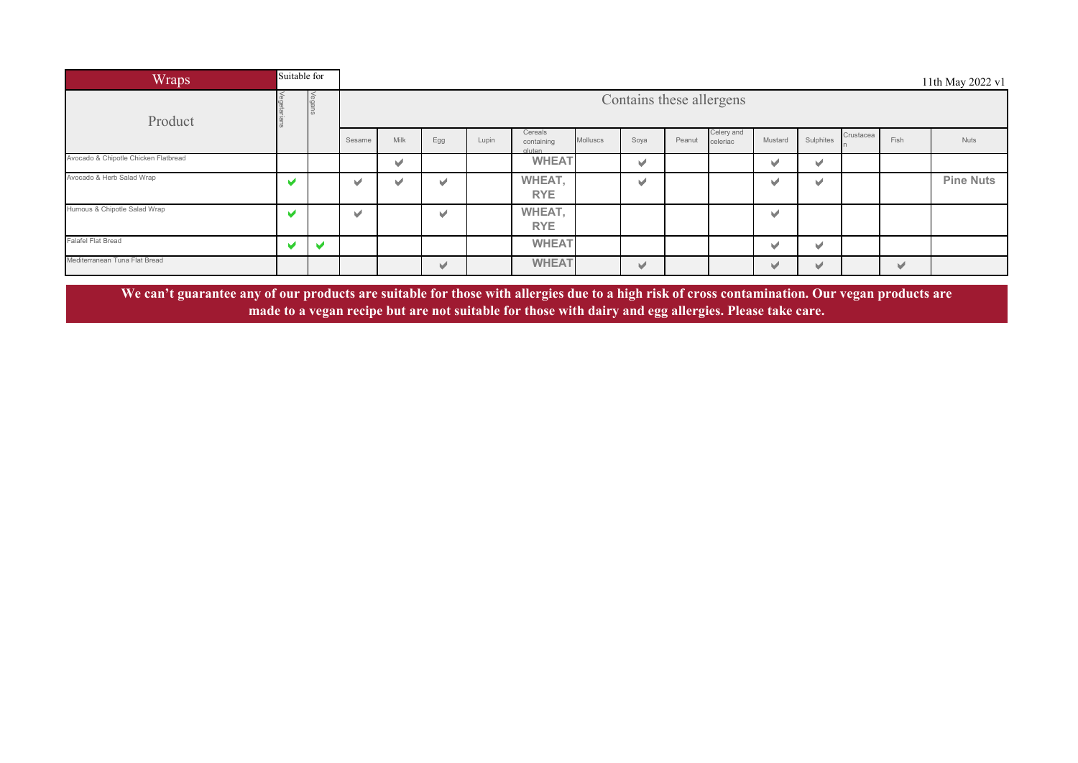| Wraps                                | Suitable for |   |        |                          |     |       |                                |          |                          |        |                        |                          |                          |           |                       | 11th May 2022 v1 |  |  |
|--------------------------------------|--------------|---|--------|--------------------------|-----|-------|--------------------------------|----------|--------------------------|--------|------------------------|--------------------------|--------------------------|-----------|-----------------------|------------------|--|--|
| Product                              |              |   |        | Contains these allergens |     |       |                                |          |                          |        |                        |                          |                          |           |                       |                  |  |  |
|                                      |              |   | Sesame | Milk                     | Egg | Lupin | Cereals<br>containing<br>duten | Molluscs | Soya                     | Peanut | Celery and<br>celeriac | Mustard                  | Sulphites                | Crustacea | Fish                  | <b>Nuts</b>      |  |  |
| Avocado & Chipotle Chicken Flatbread |              |   |        | V                        |     |       | <b>WHEAT</b>                   |          | $\checkmark$             |        |                        | v                        | v                        |           |                       |                  |  |  |
| Avocado & Herb Salad Wrap            | M            |   | v      | v                        | w   |       | WHEAT,<br><b>RYE</b>           |          | $\overline{\phantom{a}}$ |        |                        | v                        | v                        |           |                       | <b>Pine Nuts</b> |  |  |
| Humous & Chipotle Salad Wrap         | M            |   | v      |                          | ✔   |       | WHEAT,<br><b>RYE</b>           |          |                          |        |                        | $\checkmark$             |                          |           |                       |                  |  |  |
| <b>Falafel Flat Bread</b>            |              | V |        |                          |     |       | <b>WHEAT</b>                   |          |                          |        |                        | V                        | v                        |           |                       |                  |  |  |
| Mediterranean Tuna Flat Bread        |              |   |        |                          | ✔   |       | <b>WHEAT</b>                   |          | $\vee$                   |        |                        | $\overline{\phantom{a}}$ | $\overline{\mathcal{L}}$ |           | $\blacktriangleright$ |                  |  |  |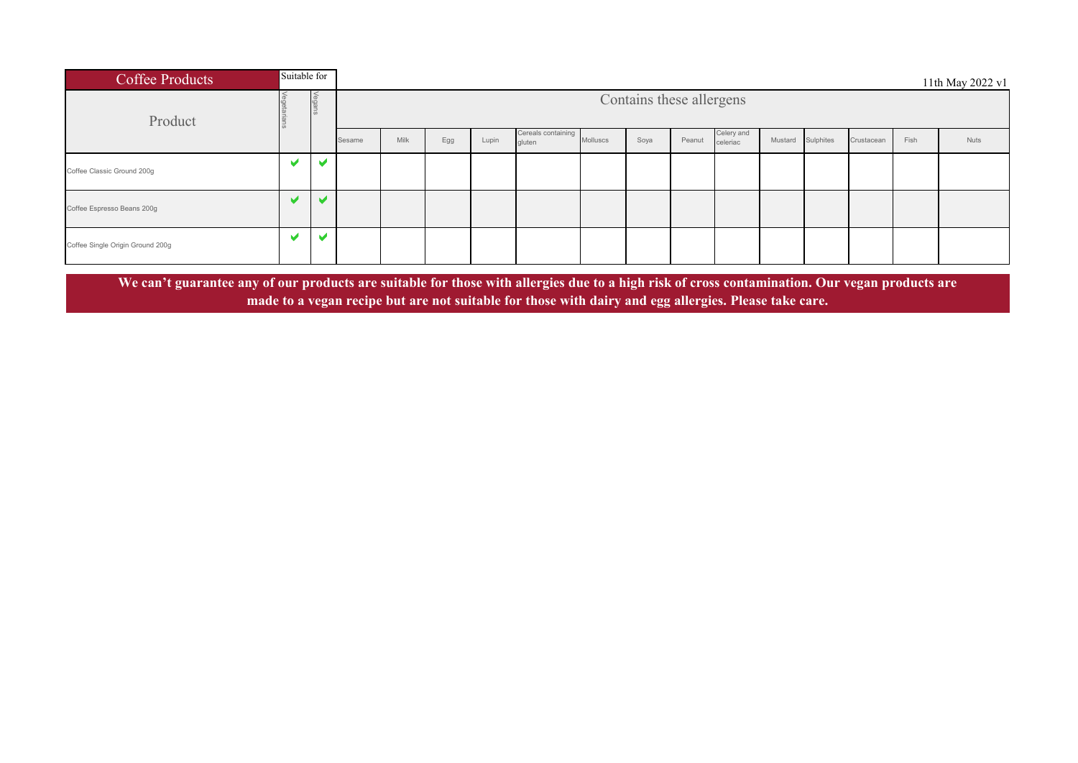| <b>Coffee Products</b>           | Suitable for |                          |        |      |     |       |                              |          |                          |        |                        |         |           |            |      | 11th May 2022 v1 |
|----------------------------------|--------------|--------------------------|--------|------|-----|-------|------------------------------|----------|--------------------------|--------|------------------------|---------|-----------|------------|------|------------------|
| Product                          |              | Vegans                   |        |      |     |       |                              |          | Contains these allergens |        |                        |         |           |            |      |                  |
|                                  |              |                          | Sesame | Milk | Egg | Lupin | Cereals containing<br>gluten | Molluscs | Soya                     | Peanut | Celery and<br>celeriac | Mustard | Sulphites | Crustacean | Fish | Nuts             |
| Coffee Classic Ground 200g       | M            | $\overline{\phantom{a}}$ |        |      |     |       |                              |          |                          |        |                        |         |           |            |      |                  |
| Coffee Espresso Beans 200g       |              |                          |        |      |     |       |                              |          |                          |        |                        |         |           |            |      |                  |
| Coffee Single Origin Ground 200g | M            |                          |        |      |     |       |                              |          |                          |        |                        |         |           |            |      |                  |